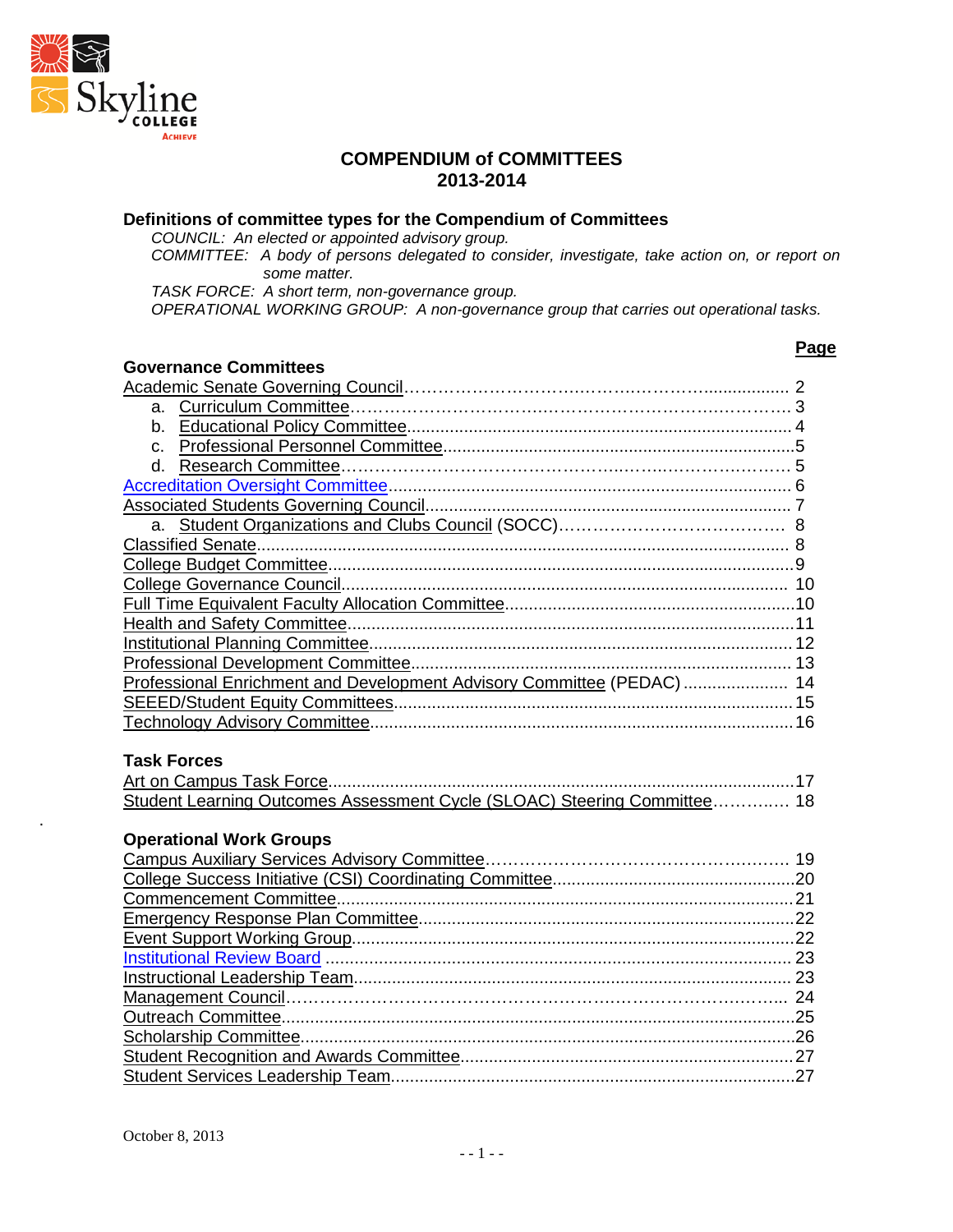

#### **COMPENDIUM of COMMITTEES 2013-2014**

#### **Definitions of committee types for the Compendium of Committees**

*COUNCIL: An elected or appointed advisory group.*

*COMMITTEE: A body of persons delegated to consider, investigate, take action on, or report on some matter.*

**Page**

*TASK FORCE: A short term, non-governance group.*

*OPERATIONAL WORKING GROUP: A non-governance group that carries out operational tasks.*

#### **Governance Committees**

| OUVEHIANCE CONNINUEES          |                                                                          |
|--------------------------------|--------------------------------------------------------------------------|
|                                |                                                                          |
|                                |                                                                          |
|                                |                                                                          |
|                                |                                                                          |
|                                |                                                                          |
|                                |                                                                          |
|                                |                                                                          |
|                                |                                                                          |
|                                |                                                                          |
|                                |                                                                          |
|                                |                                                                          |
|                                |                                                                          |
|                                |                                                                          |
|                                |                                                                          |
|                                |                                                                          |
|                                | Professional Enrichment and Development Advisory Committee (PEDAC)  14   |
|                                |                                                                          |
|                                |                                                                          |
|                                |                                                                          |
| <b>Task Forces</b>             |                                                                          |
|                                |                                                                          |
|                                | Student Learning Outcomes Assessment Cycle (SLOAC) Steering Committee 18 |
|                                |                                                                          |
| <b>Operational Work Groups</b> |                                                                          |
|                                |                                                                          |
|                                |                                                                          |
|                                |                                                                          |
|                                |                                                                          |
|                                |                                                                          |
|                                |                                                                          |
|                                |                                                                          |
|                                |                                                                          |

[Management Council…](#page-22-2)……………………………………………….………………….……... 24 [Outreach Committee.](#page-24-0)...........................................................................................................25 [Scholarship Committee.](#page-25-0).......................................................................................................26 [Student Recognition and Awards Committee.](#page-26-0).....................................................................27 [Student Services Leadership Team.](#page-26-1)....................................................................................27

.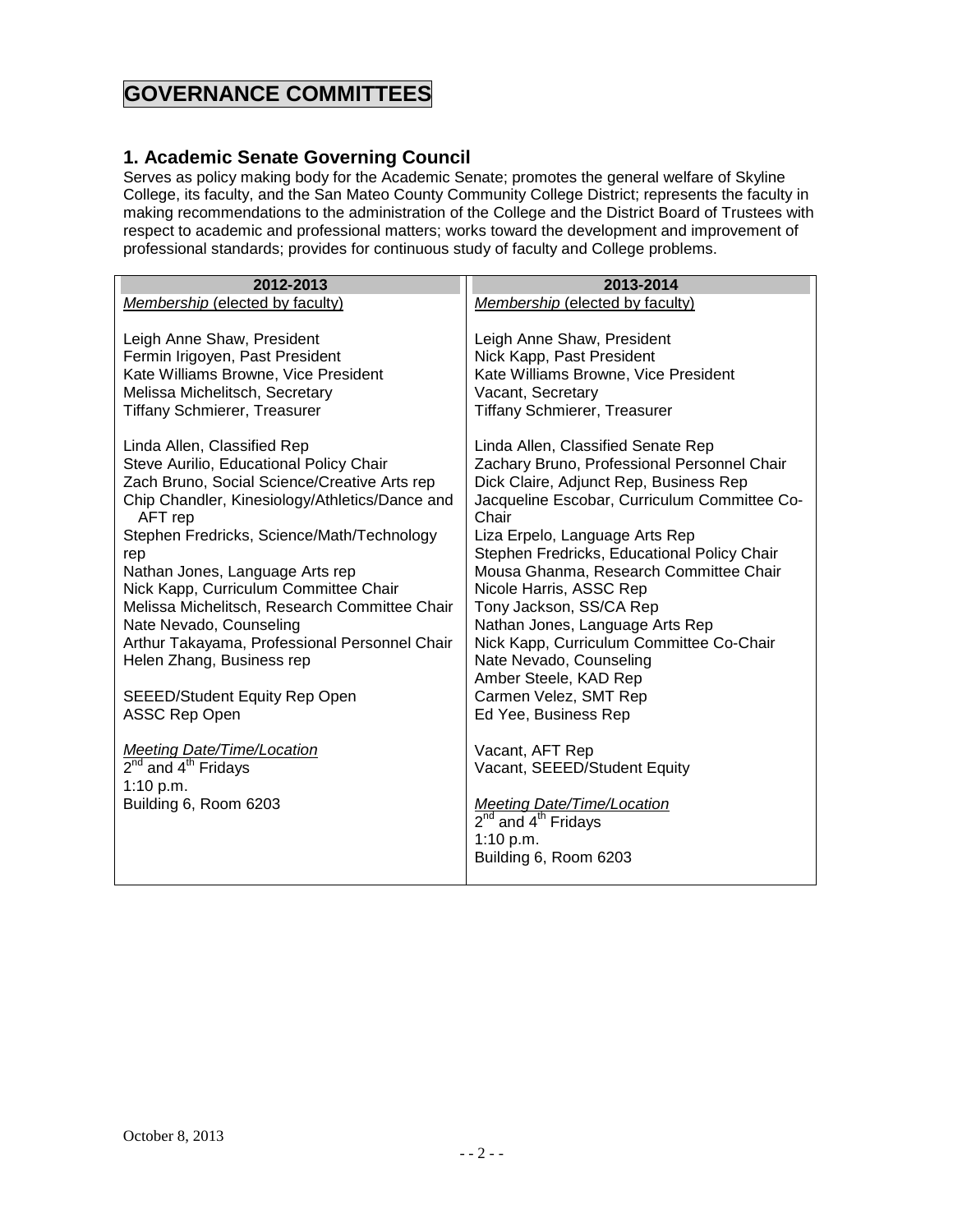# **GOVERNANCE COMMITTEES**

#### <span id="page-1-0"></span>**1. Academic Senate Governing Council**

Serves as policy making body for the Academic Senate; promotes the general welfare of Skyline College, its faculty, and the San Mateo County Community College District; represents the faculty in making recommendations to the administration of the College and the District Board of Trustees with respect to academic and professional matters; works toward the development and improvement of professional standards; provides for continuous study of faculty and College problems.

| 2012-2013                                                                                                                                                                                                                                                                                                                                                                                                                                                                                                                                      | 2013-2014                                                                                                                                                                                                                                                                                                                                                                                                                                                                                                                                                 |
|------------------------------------------------------------------------------------------------------------------------------------------------------------------------------------------------------------------------------------------------------------------------------------------------------------------------------------------------------------------------------------------------------------------------------------------------------------------------------------------------------------------------------------------------|-----------------------------------------------------------------------------------------------------------------------------------------------------------------------------------------------------------------------------------------------------------------------------------------------------------------------------------------------------------------------------------------------------------------------------------------------------------------------------------------------------------------------------------------------------------|
| Membership (elected by faculty)                                                                                                                                                                                                                                                                                                                                                                                                                                                                                                                | Membership (elected by faculty)                                                                                                                                                                                                                                                                                                                                                                                                                                                                                                                           |
| Leigh Anne Shaw, President<br>Fermin Irigoyen, Past President<br>Kate Williams Browne, Vice President<br>Melissa Michelitsch, Secretary<br><b>Tiffany Schmierer, Treasurer</b>                                                                                                                                                                                                                                                                                                                                                                 | Leigh Anne Shaw, President<br>Nick Kapp, Past President<br>Kate Williams Browne, Vice President<br>Vacant, Secretary<br>Tiffany Schmierer, Treasurer                                                                                                                                                                                                                                                                                                                                                                                                      |
| Linda Allen, Classified Rep<br>Steve Aurilio, Educational Policy Chair<br>Zach Bruno, Social Science/Creative Arts rep<br>Chip Chandler, Kinesiology/Athletics/Dance and<br>AFT rep<br>Stephen Fredricks, Science/Math/Technology<br>rep<br>Nathan Jones, Language Arts rep<br>Nick Kapp, Curriculum Committee Chair<br>Melissa Michelitsch, Research Committee Chair<br>Nate Nevado, Counseling<br>Arthur Takayama, Professional Personnel Chair<br>Helen Zhang, Business rep<br><b>SEEED/Student Equity Rep Open</b><br><b>ASSC Rep Open</b> | Linda Allen, Classified Senate Rep<br>Zachary Bruno, Professional Personnel Chair<br>Dick Claire, Adjunct Rep, Business Rep<br>Jacqueline Escobar, Curriculum Committee Co-<br>Chair<br>Liza Erpelo, Language Arts Rep<br>Stephen Fredricks, Educational Policy Chair<br>Mousa Ghanma, Research Committee Chair<br>Nicole Harris, ASSC Rep<br>Tony Jackson, SS/CA Rep<br>Nathan Jones, Language Arts Rep<br>Nick Kapp, Curriculum Committee Co-Chair<br>Nate Nevado, Counseling<br>Amber Steele, KAD Rep<br>Carmen Velez, SMT Rep<br>Ed Yee, Business Rep |
| <b>Meeting Date/Time/Location</b><br>$2^{nd}$ and $4^{th}$ Fridays<br>1:10 p.m.<br>Building 6, Room 6203                                                                                                                                                                                                                                                                                                                                                                                                                                       | Vacant, AFT Rep<br>Vacant, SEEED/Student Equity<br><b>Meeting Date/Time/Location</b><br>2 <sup>nd</sup> and 4 <sup>th</sup> Fridays<br>1:10 $p.m.$<br>Building 6, Room 6203                                                                                                                                                                                                                                                                                                                                                                               |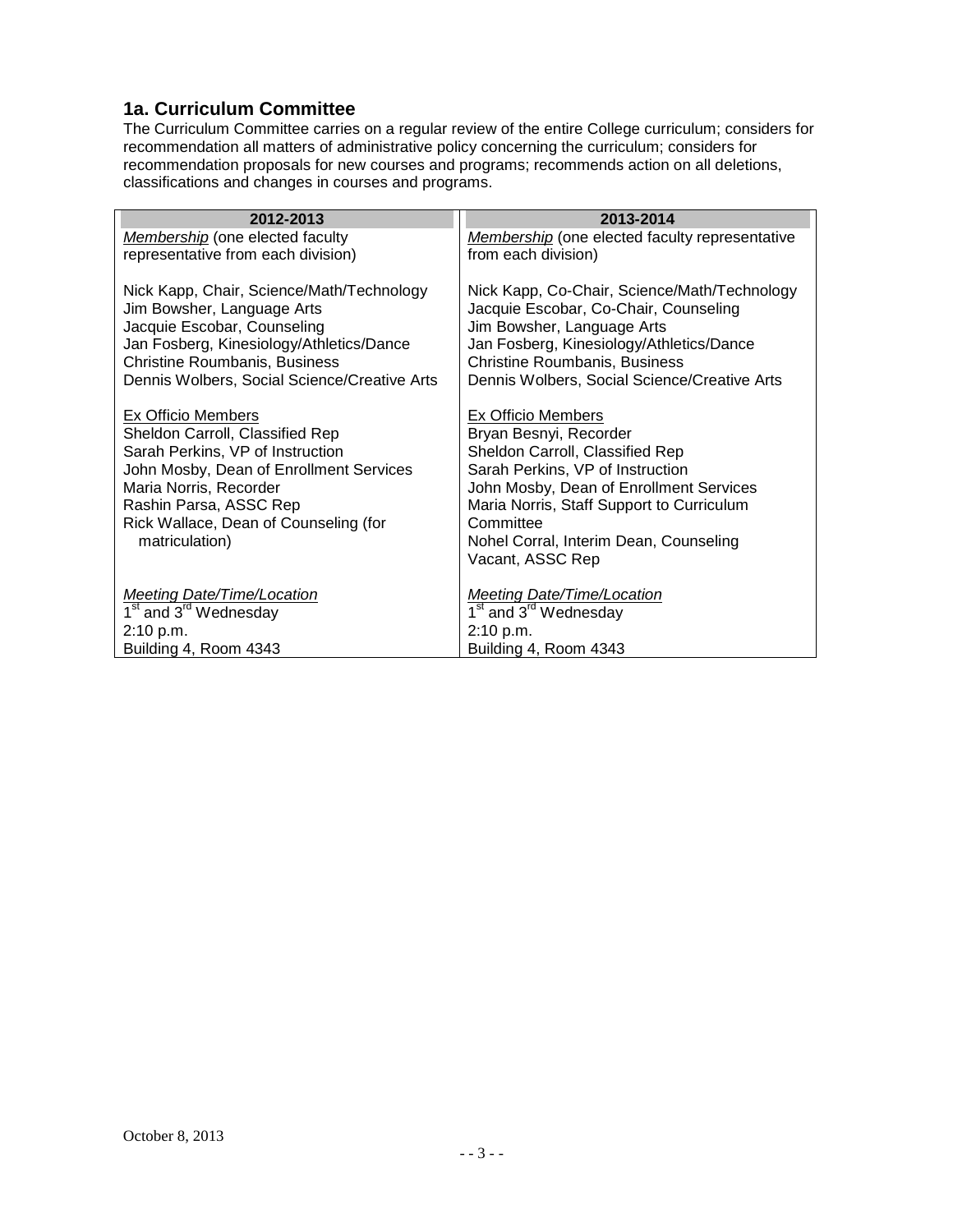#### <span id="page-2-0"></span>**1a. Curriculum Committee**

The Curriculum Committee carries on a regular review of the entire College curriculum; considers for recommendation all matters of administrative policy concerning the curriculum; considers for recommendation proposals for new courses and programs; recommends action on all deletions, classifications and changes in courses and programs.

| 2012-2013                                                                                                                                                                                                                                                  | 2013-2014                                                                                                                                                                                                                                                                                     |
|------------------------------------------------------------------------------------------------------------------------------------------------------------------------------------------------------------------------------------------------------------|-----------------------------------------------------------------------------------------------------------------------------------------------------------------------------------------------------------------------------------------------------------------------------------------------|
| Membership (one elected faculty                                                                                                                                                                                                                            | Membership (one elected faculty representative                                                                                                                                                                                                                                                |
| representative from each division)                                                                                                                                                                                                                         | from each division)                                                                                                                                                                                                                                                                           |
| Nick Kapp, Chair, Science/Math/Technology<br>Jim Bowsher, Language Arts<br>Jacquie Escobar, Counseling<br>Jan Fosberg, Kinesiology/Athletics/Dance<br><b>Christine Roumbanis, Business</b>                                                                 | Nick Kapp, Co-Chair, Science/Math/Technology<br>Jacquie Escobar, Co-Chair, Counseling<br>Jim Bowsher, Language Arts<br>Jan Fosberg, Kinesiology/Athletics/Dance<br><b>Christine Roumbanis, Business</b>                                                                                       |
| Dennis Wolbers, Social Science/Creative Arts                                                                                                                                                                                                               | Dennis Wolbers, Social Science/Creative Arts                                                                                                                                                                                                                                                  |
| <b>Ex Officio Members</b><br>Sheldon Carroll, Classified Rep<br>Sarah Perkins, VP of Instruction<br>John Mosby, Dean of Enrollment Services<br>Maria Norris, Recorder<br>Rashin Parsa, ASSC Rep<br>Rick Wallace, Dean of Counseling (for<br>matriculation) | <b>Ex Officio Members</b><br>Bryan Besnyi, Recorder<br>Sheldon Carroll, Classified Rep<br>Sarah Perkins, VP of Instruction<br>John Mosby, Dean of Enrollment Services<br>Maria Norris, Staff Support to Curriculum<br>Committee<br>Nohel Corral, Interim Dean, Counseling<br>Vacant, ASSC Rep |
| <b>Meeting Date/Time/Location</b>                                                                                                                                                                                                                          | <b>Meeting Date/Time/Location</b>                                                                                                                                                                                                                                                             |
| 1 <sup>st</sup> and 3 <sup>rd</sup> Wednesday                                                                                                                                                                                                              | 1 <sup>st</sup> and 3 <sup>rd</sup> Wednesday                                                                                                                                                                                                                                                 |
| 2:10 p.m.                                                                                                                                                                                                                                                  | 2:10 p.m.                                                                                                                                                                                                                                                                                     |
| Building 4, Room 4343                                                                                                                                                                                                                                      | Building 4, Room 4343                                                                                                                                                                                                                                                                         |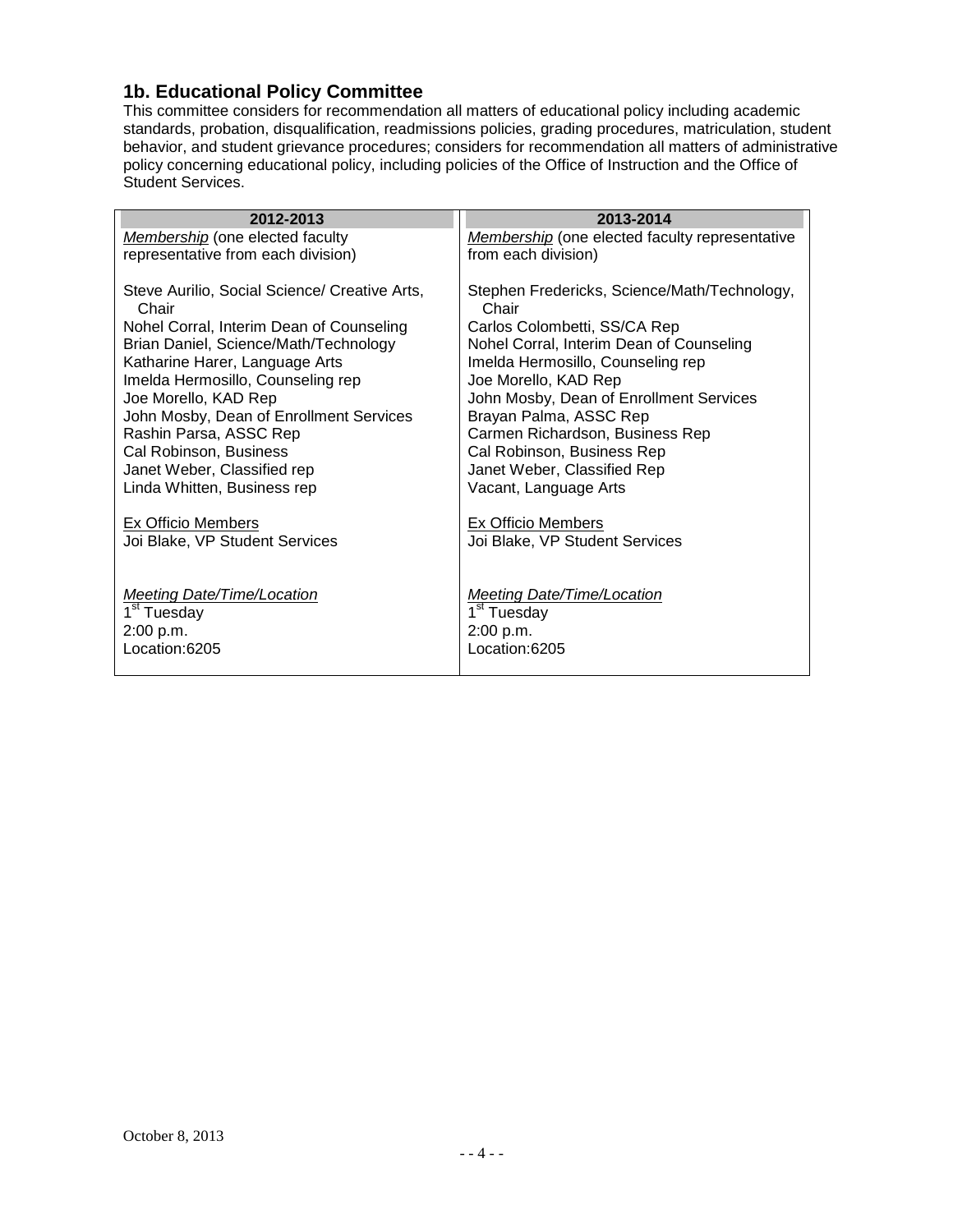## <span id="page-3-0"></span>**1b. Educational Policy Committee**

This committee considers for recommendation all matters of educational policy including academic standards, probation, disqualification, readmissions policies, grading procedures, matriculation, student behavior, and student grievance procedures; considers for recommendation all matters of administrative policy concerning educational policy, including policies of the Office of Instruction and the Office of Student Services.

| 2012-2013                                              | 2013-2014                                             |
|--------------------------------------------------------|-------------------------------------------------------|
| Membership (one elected faculty                        | Membership (one elected faculty representative        |
| representative from each division)                     | from each division)                                   |
| Steve Aurilio, Social Science/ Creative Arts,<br>Chair | Stephen Fredericks, Science/Math/Technology,<br>Chair |
| Nohel Corral, Interim Dean of Counseling               | Carlos Colombetti, SS/CA Rep                          |
| Brian Daniel, Science/Math/Technology                  | Nohel Corral, Interim Dean of Counseling              |
| Katharine Harer, Language Arts                         | Imelda Hermosillo, Counseling rep                     |
| Imelda Hermosillo, Counseling rep                      | Joe Morello, KAD Rep                                  |
| Joe Morello, KAD Rep                                   | John Mosby, Dean of Enrollment Services               |
| John Mosby, Dean of Enrollment Services                | Brayan Palma, ASSC Rep                                |
| Rashin Parsa, ASSC Rep                                 | Carmen Richardson, Business Rep                       |
| Cal Robinson, Business                                 | Cal Robinson, Business Rep                            |
| Janet Weber, Classified rep                            | Janet Weber, Classified Rep                           |
| Linda Whitten, Business rep                            | Vacant, Language Arts                                 |
| Ex Officio Members                                     | Ex Officio Members                                    |
| Joi Blake, VP Student Services                         | Joi Blake, VP Student Services                        |
|                                                        |                                                       |
|                                                        |                                                       |
| Meeting Date/Time/Location                             | Meeting Date/Time/Location                            |
| 1 <sup>st</sup> Tuesday                                | 1 <sup>st</sup> Tuesday                               |
| 2:00 p.m.                                              | 2:00 p.m.                                             |
| Location:6205                                          | Location:6205                                         |
|                                                        |                                                       |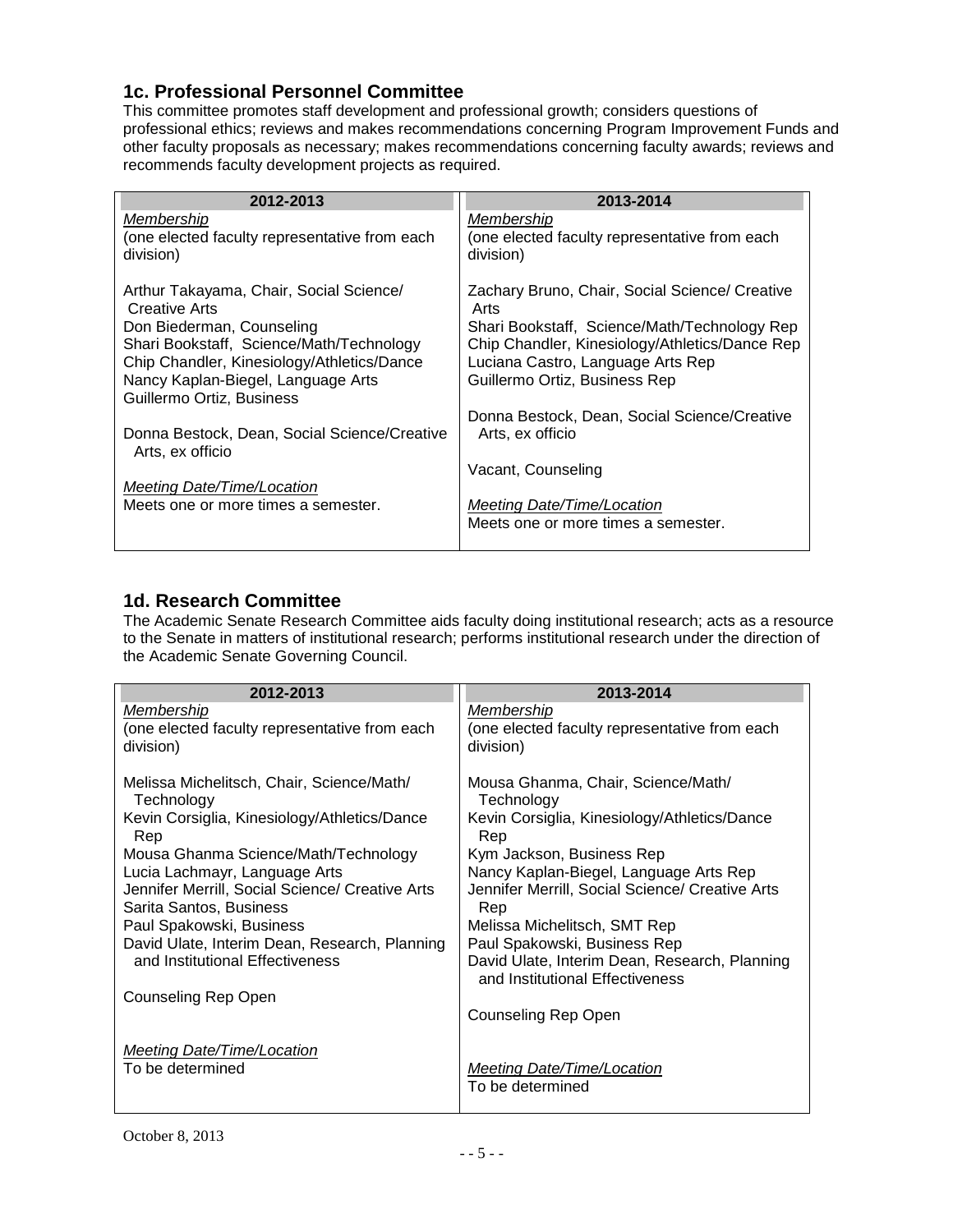#### <span id="page-4-0"></span>**1c. Professional Personnel Committee**

This committee promotes staff development and professional growth; considers questions of professional ethics; reviews and makes recommendations concerning Program Improvement Funds and other faculty proposals as necessary; makes recommendations concerning faculty awards; reviews and recommends faculty development projects as required.

| 2012-2013                                                        | 2013-2014                                              |
|------------------------------------------------------------------|--------------------------------------------------------|
| Membership                                                       | <u>Membership</u>                                      |
| (one elected faculty representative from each                    | (one elected faculty representative from each          |
| division)                                                        | division)                                              |
|                                                                  |                                                        |
| Arthur Takayama, Chair, Social Science/<br><b>Creative Arts</b>  | Zachary Bruno, Chair, Social Science/ Creative<br>Arts |
| Don Biederman, Counseling                                        | Shari Bookstaff, Science/Math/Technology Rep           |
| Shari Bookstaff, Science/Math/Technology                         | Chip Chandler, Kinesiology/Athletics/Dance Rep         |
| Chip Chandler, Kinesiology/Athletics/Dance                       | Luciana Castro, Language Arts Rep                      |
| Nancy Kaplan-Biegel, Language Arts                               | Guillermo Ortiz, Business Rep                          |
| Guillermo Ortiz, Business                                        |                                                        |
|                                                                  | Donna Bestock, Dean, Social Science/Creative           |
| Donna Bestock, Dean, Social Science/Creative<br>Arts, ex officio | Arts, ex officio                                       |
|                                                                  | Vacant, Counseling                                     |
| Meeting Date/Time/Location                                       |                                                        |
| Meets one or more times a semester.                              | Meeting Date/Time/Location                             |
|                                                                  | Meets one or more times a semester.                    |
|                                                                  |                                                        |

#### <span id="page-4-1"></span>**1d. Research Committee**

The Academic Senate Research Committee aids faculty doing institutional research; acts as a resource to the Senate in matters of institutional research; performs institutional research under the direction of the Academic Senate Governing Council.

| 2012-2013                                       | 2013-2014                                                     |
|-------------------------------------------------|---------------------------------------------------------------|
| <b>Membership</b>                               | Membership                                                    |
| (one elected faculty representative from each   | (one elected faculty representative from each                 |
| division)                                       | division)                                                     |
| Melissa Michelitsch, Chair, Science/Math/       | Mousa Ghanma, Chair, Science/Math/                            |
| Technology                                      | Technology                                                    |
| Kevin Corsiglia, Kinesiology/Athletics/Dance    | Kevin Corsiglia, Kinesiology/Athletics/Dance                  |
| Rep                                             | Rep                                                           |
| Mousa Ghanma Science/Math/Technology            | Kym Jackson, Business Rep                                     |
| Lucia Lachmayr, Language Arts                   | Nancy Kaplan-Biegel, Language Arts Rep                        |
| Jennifer Merrill, Social Science/ Creative Arts | Jennifer Merrill, Social Science/ Creative Arts               |
| Sarita Santos, Business                         | Rep                                                           |
| Paul Spakowski, Business                        | Melissa Michelitsch, SMT Rep                                  |
| David Ulate, Interim Dean, Research, Planning   | Paul Spakowski, Business Rep                                  |
| and Institutional Effectiveness                 | David Ulate, Interim Dean, Research, Planning                 |
| Counseling Rep Open                             | and Institutional Effectiveness<br><b>Counseling Rep Open</b> |
| <b>Meeting Date/Time/Location</b>               | <b>Meeting Date/Time/Location</b>                             |
| To be determined                                | To be determined                                              |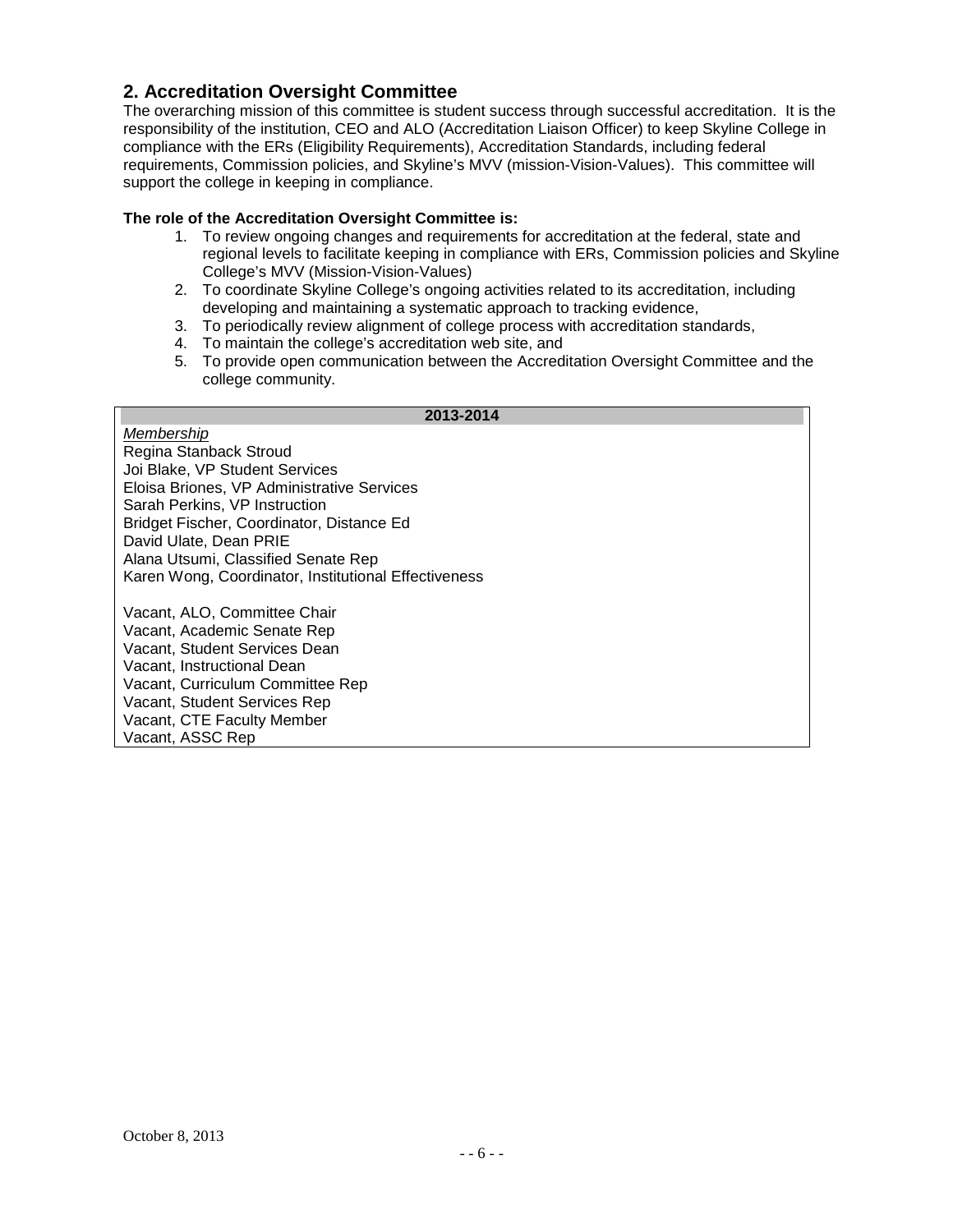#### <span id="page-5-0"></span>**2. Accreditation Oversight Committee**

The overarching mission of this committee is student success through successful accreditation. It is the responsibility of the institution, CEO and ALO (Accreditation Liaison Officer) to keep Skyline College in compliance with the ERs (Eligibility Requirements), Accreditation Standards, including federal requirements, Commission policies, and Skyline's MVV (mission-Vision-Values). This committee will support the college in keeping in compliance.

#### **The role of the Accreditation Oversight Committee is:**

- 1. To review ongoing changes and requirements for accreditation at the federal, state and regional levels to facilitate keeping in compliance with ERs, Commission policies and Skyline College's MVV (Mission-Vision-Values)
- 2. To coordinate Skyline College's ongoing activities related to its accreditation, including developing and maintaining a systematic approach to tracking evidence,
- 3. To periodically review alignment of college process with accreditation standards,
- 4. To maintain the college's accreditation web site, and
- 5. To provide open communication between the Accreditation Oversight Committee and the college community.

#### **2013-2014** *Membership* Regina Stanback Stroud Joi Blake, VP Student Services Eloisa Briones, VP Administrative Services Sarah Perkins, VP Instruction Bridget Fischer, Coordinator, Distance Ed David Ulate, Dean PRIE Alana Utsumi, Classified Senate Rep Karen Wong, Coordinator, Institutional Effectiveness Vacant, ALO, Committee Chair Vacant, Academic Senate Rep Vacant, Student Services Dean Vacant, Instructional Dean Vacant, Curriculum Committee Rep Vacant, Student Services Rep Vacant, CTE Faculty Member Vacant, ASSC Rep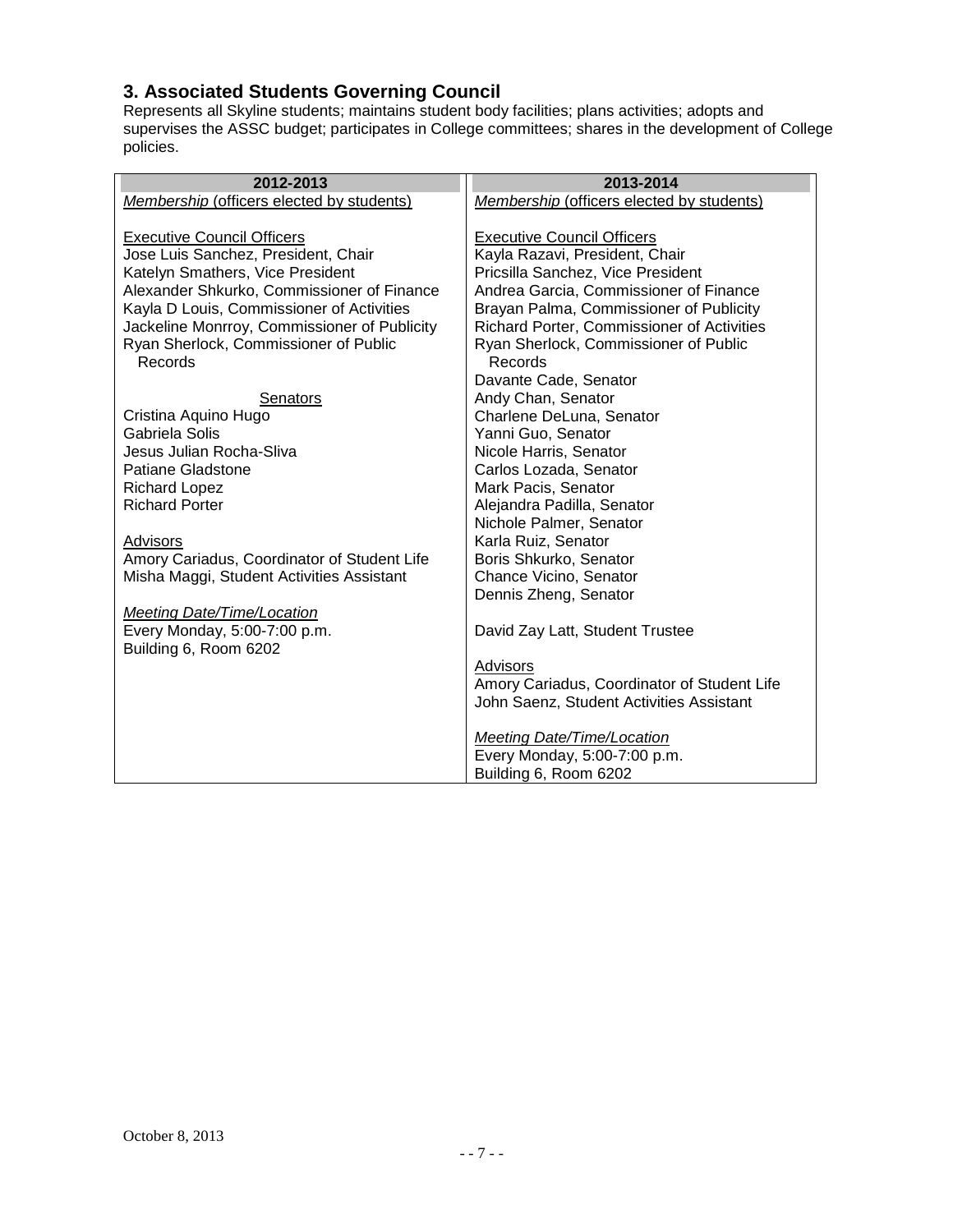## <span id="page-6-0"></span>**3. Associated Students Governing Council**

Represents all Skyline students; maintains student body facilities; plans activities; adopts and supervises the ASSC budget; participates in College committees; shares in the development of College policies.

| 2012-2013                                    | 2013-2014                                   |
|----------------------------------------------|---------------------------------------------|
| Membership (officers elected by students)    | Membership (officers elected by students)   |
|                                              |                                             |
| <b>Executive Council Officers</b>            | <b>Executive Council Officers</b>           |
| Jose Luis Sanchez, President, Chair          | Kayla Razavi, President, Chair              |
| Katelyn Smathers, Vice President             | Pricsilla Sanchez, Vice President           |
| Alexander Shkurko, Commissioner of Finance   | Andrea Garcia, Commissioner of Finance      |
| Kayla D Louis, Commissioner of Activities    | Brayan Palma, Commissioner of Publicity     |
| Jackeline Monrroy, Commissioner of Publicity | Richard Porter, Commissioner of Activities  |
| Ryan Sherlock, Commissioner of Public        | Ryan Sherlock, Commissioner of Public       |
| Records                                      | Records                                     |
|                                              | Davante Cade, Senator                       |
| Senators                                     | Andy Chan, Senator                          |
| Cristina Aquino Hugo                         | Charlene DeLuna, Senator                    |
| Gabriela Solis                               | Yanni Guo, Senator                          |
| Jesus Julian Rocha-Sliva                     | Nicole Harris, Senator                      |
| Patiane Gladstone                            | Carlos Lozada, Senator                      |
| <b>Richard Lopez</b>                         | Mark Pacis, Senator                         |
| <b>Richard Porter</b>                        | Alejandra Padilla, Senator                  |
|                                              | Nichole Palmer, Senator                     |
| Advisors                                     | Karla Ruiz, Senator                         |
| Amory Cariadus, Coordinator of Student Life  | Boris Shkurko, Senator                      |
| Misha Maggi, Student Activities Assistant    | Chance Vicino, Senator                      |
|                                              | Dennis Zheng, Senator                       |
| Meeting Date/Time/Location                   |                                             |
| Every Monday, 5:00-7:00 p.m.                 | David Zay Latt, Student Trustee             |
| Building 6, Room 6202                        |                                             |
|                                              | Advisors                                    |
|                                              | Amory Cariadus, Coordinator of Student Life |
|                                              | John Saenz, Student Activities Assistant    |
|                                              | Meeting Date/Time/Location                  |
|                                              | Every Monday, 5:00-7:00 p.m.                |
|                                              | Building 6, Room 6202                       |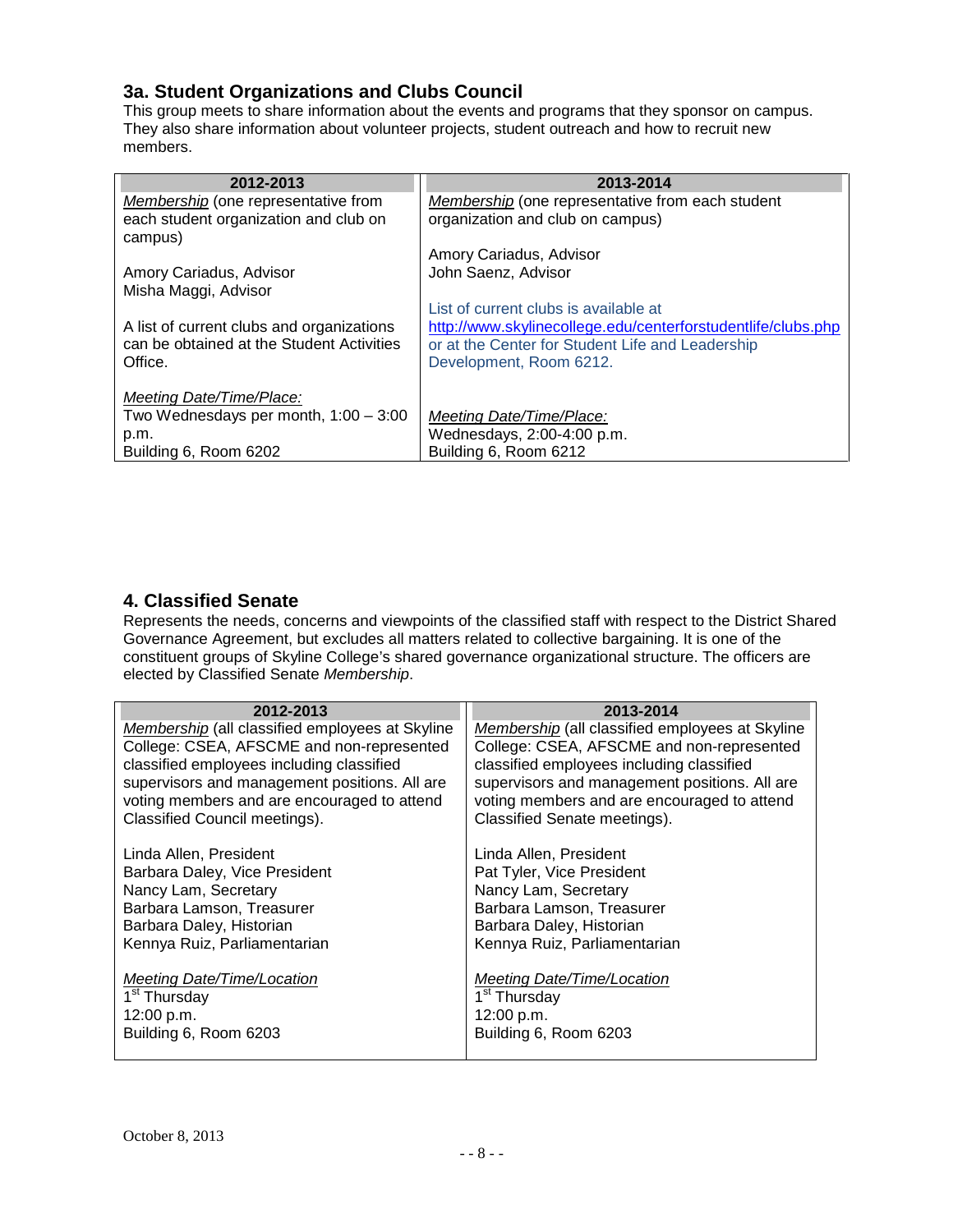#### <span id="page-7-0"></span>**3a. Student Organizations and Clubs Council**

This group meets to share information about the events and programs that they sponsor on campus. They also share information about volunteer projects, student outreach and how to recruit new members.

| 2012-2013                                 | 2013-2014                                                    |
|-------------------------------------------|--------------------------------------------------------------|
| Membership (one representative from       | Membership (one representative from each student             |
| each student organization and club on     | organization and club on campus)                             |
| campus)                                   |                                                              |
|                                           | Amory Cariadus, Advisor                                      |
| Amory Cariadus, Advisor                   | John Saenz, Advisor                                          |
| Misha Maggi, Advisor                      |                                                              |
|                                           | List of current clubs is available at                        |
| A list of current clubs and organizations | http://www.skylinecollege.edu/centerforstudentlife/clubs.php |
| can be obtained at the Student Activities | or at the Center for Student Life and Leadership             |
| Office.                                   | Development, Room 6212.                                      |
|                                           |                                                              |
| Meeting Date/Time/Place:                  |                                                              |
| Two Wednesdays per month, $1:00 - 3:00$   | <b>Meeting Date/Time/Place:</b>                              |
| p.m.                                      | Wednesdays, 2:00-4:00 p.m.                                   |
| Building 6, Room 6202                     | Building 6, Room 6212                                        |

#### <span id="page-7-1"></span>**4. Classified Senate**

Represents the needs, concerns and viewpoints of the classified staff with respect to the District Shared Governance Agreement, but excludes all matters related to collective bargaining. It is one of the constituent groups of Skyline College's shared governance organizational structure. The officers are elected by Classified Senate *Membership*.

| 2012-2013                                       | 2013-2014                                       |
|-------------------------------------------------|-------------------------------------------------|
| Membership (all classified employees at Skyline | Membership (all classified employees at Skyline |
| College: CSEA, AFSCME and non-represented       | College: CSEA, AFSCME and non-represented       |
| classified employees including classified       | classified employees including classified       |
| supervisors and management positions. All are   | supervisors and management positions. All are   |
| voting members and are encouraged to attend     | voting members and are encouraged to attend     |
| Classified Council meetings).                   | Classified Senate meetings).                    |
| Linda Allen, President                          | Linda Allen, President                          |
| Barbara Daley, Vice President                   | Pat Tyler, Vice President                       |
| Nancy Lam, Secretary                            | Nancy Lam, Secretary                            |
| Barbara Lamson, Treasurer                       | Barbara Lamson, Treasurer                       |
| Barbara Daley, Historian                        | Barbara Daley, Historian                        |
| Kennya Ruiz, Parliamentarian                    | Kennya Ruiz, Parliamentarian                    |
| <b>Meeting Date/Time/Location</b>               | <b>Meeting Date/Time/Location</b>               |
| 1 <sup>st</sup> Thursday                        | 1 <sup>st</sup> Thursday                        |
| 12:00 p.m.                                      | 12:00 p.m.                                      |
| Building 6, Room 6203                           | Building 6, Room 6203                           |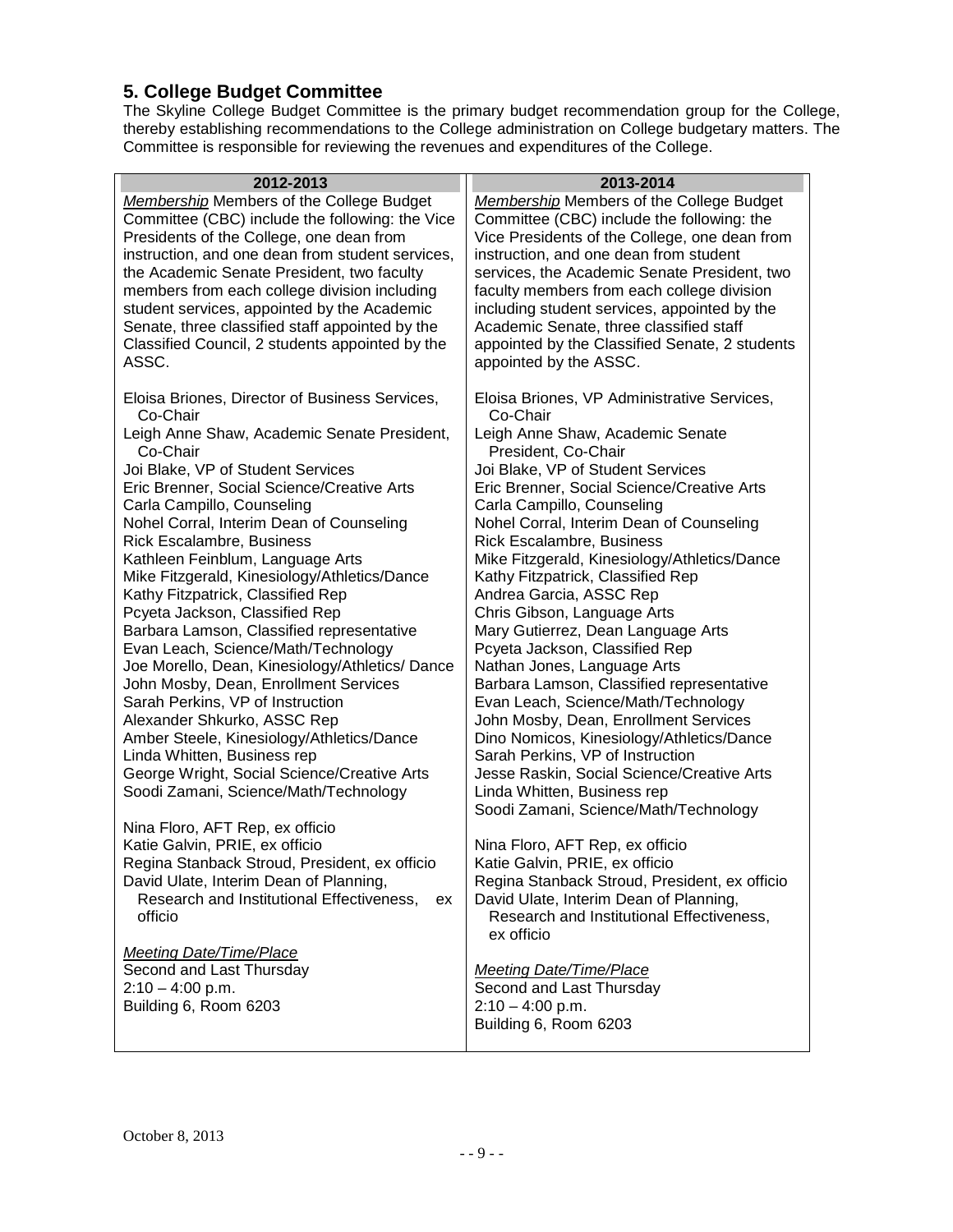## <span id="page-8-0"></span>**5. College Budget Committee**

The Skyline College Budget Committee is the primary budget recommendation group for the College, thereby establishing recommendations to the College administration on College budgetary matters. The Committee is responsible for reviewing the revenues and expenditures of the College.

| 2012-2013                                                  | 2013-2014                                               |
|------------------------------------------------------------|---------------------------------------------------------|
| <b>Membership Members of the College Budget</b>            | <b>Membership Members of the College Budget</b>         |
| Committee (CBC) include the following: the Vice            | Committee (CBC) include the following: the              |
| Presidents of the College, one dean from                   | Vice Presidents of the College, one dean from           |
| instruction, and one dean from student services,           | instruction, and one dean from student                  |
| the Academic Senate President, two faculty                 | services, the Academic Senate President, two            |
| members from each college division including               | faculty members from each college division              |
| student services, appointed by the Academic                | including student services, appointed by the            |
| Senate, three classified staff appointed by the            | Academic Senate, three classified staff                 |
| Classified Council, 2 students appointed by the            | appointed by the Classified Senate, 2 students          |
| ASSC.                                                      | appointed by the ASSC.                                  |
|                                                            |                                                         |
| Eloisa Briones, Director of Business Services,<br>Co-Chair | Eloisa Briones, VP Administrative Services,<br>Co-Chair |
| Leigh Anne Shaw, Academic Senate President,<br>Co-Chair    | Leigh Anne Shaw, Academic Senate<br>President, Co-Chair |
| Joi Blake, VP of Student Services                          | Joi Blake, VP of Student Services                       |
| Eric Brenner, Social Science/Creative Arts                 | Eric Brenner, Social Science/Creative Arts              |
| Carla Campillo, Counseling                                 | Carla Campillo, Counseling                              |
| Nohel Corral, Interim Dean of Counseling                   | Nohel Corral, Interim Dean of Counseling                |
| <b>Rick Escalambre, Business</b>                           | Rick Escalambre, Business                               |
| Kathleen Feinblum, Language Arts                           | Mike Fitzgerald, Kinesiology/Athletics/Dance            |
| Mike Fitzgerald, Kinesiology/Athletics/Dance               | Kathy Fitzpatrick, Classified Rep                       |
| Kathy Fitzpatrick, Classified Rep                          | Andrea Garcia, ASSC Rep                                 |
| Pcyeta Jackson, Classified Rep                             | Chris Gibson, Language Arts                             |
| Barbara Lamson, Classified representative                  | Mary Gutierrez, Dean Language Arts                      |
| Evan Leach, Science/Math/Technology                        | Pcyeta Jackson, Classified Rep                          |
| Joe Morello, Dean, Kinesiology/Athletics/Dance             | Nathan Jones, Language Arts                             |
| John Mosby, Dean, Enrollment Services                      | Barbara Lamson, Classified representative               |
| Sarah Perkins, VP of Instruction                           | Evan Leach, Science/Math/Technology                     |
| Alexander Shkurko, ASSC Rep                                | John Mosby, Dean, Enrollment Services                   |
| Amber Steele, Kinesiology/Athletics/Dance                  | Dino Nomicos, Kinesiology/Athletics/Dance               |
| Linda Whitten, Business rep                                | Sarah Perkins, VP of Instruction                        |
| George Wright, Social Science/Creative Arts                | Jesse Raskin, Social Science/Creative Arts              |
| Soodi Zamani, Science/Math/Technology                      | Linda Whitten, Business rep                             |
|                                                            | Soodi Zamani, Science/Math/Technology                   |
| Nina Floro, AFT Rep, ex officio                            |                                                         |
| Katie Galvin, PRIE, ex officio                             | Nina Floro, AFT Rep, ex officio                         |
| Regina Stanback Stroud, President, ex officio              | Katie Galvin, PRIE, ex officio                          |
| David Ulate, Interim Dean of Planning,                     | Regina Stanback Stroud, President, ex officio           |
| Research and Institutional Effectiveness,<br>ex            | David Ulate, Interim Dean of Planning,                  |
| officio                                                    | Research and Institutional Effectiveness,               |
|                                                            | ex officio                                              |
| <b>Meeting Date/Time/Place</b>                             |                                                         |
| Second and Last Thursday                                   | <b>Meeting Date/Time/Place</b>                          |
| $2:10 - 4:00$ p.m.                                         | Second and Last Thursday                                |
|                                                            | $2:10 - 4:00$ p.m.                                      |
| Building 6, Room 6203                                      |                                                         |
|                                                            | Building 6, Room 6203                                   |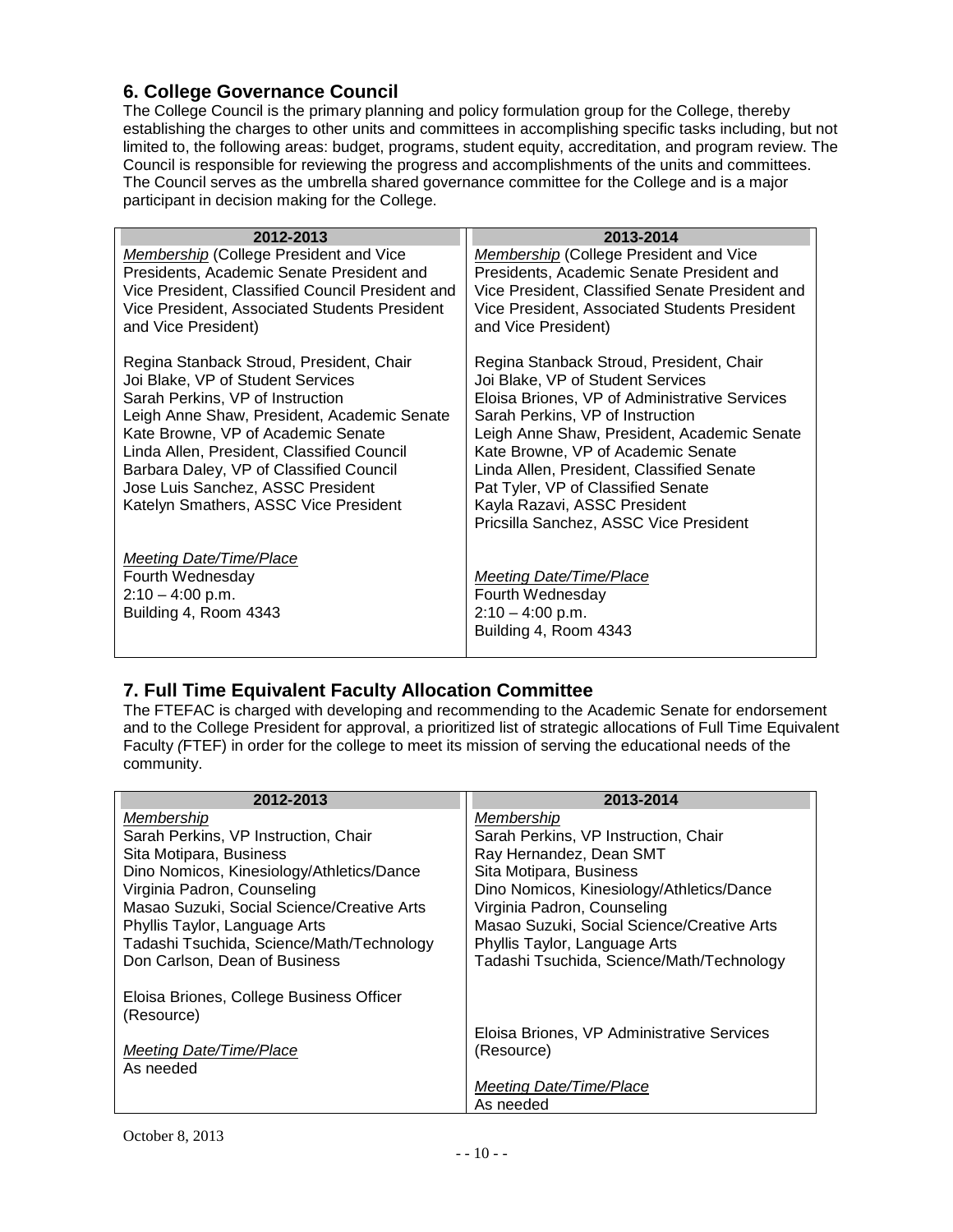#### <span id="page-9-0"></span>**6. College Governance Council**

The College Council is the primary planning and policy formulation group for the College, thereby establishing the charges to other units and committees in accomplishing specific tasks including, but not limited to, the following areas: budget, programs, student equity, accreditation, and program review. The Council is responsible for reviewing the progress and accomplishments of the units and committees. The Council serves as the umbrella shared governance committee for the College and is a major participant in decision making for the College.

| 2012-2013                                                                                                                                                                                                                                                                                                                                                                     | 2013-2014                                                                                                                                                                                                                                                                                                                                                                                                            |
|-------------------------------------------------------------------------------------------------------------------------------------------------------------------------------------------------------------------------------------------------------------------------------------------------------------------------------------------------------------------------------|----------------------------------------------------------------------------------------------------------------------------------------------------------------------------------------------------------------------------------------------------------------------------------------------------------------------------------------------------------------------------------------------------------------------|
| Membership (College President and Vice                                                                                                                                                                                                                                                                                                                                        | Membership (College President and Vice                                                                                                                                                                                                                                                                                                                                                                               |
| Presidents, Academic Senate President and                                                                                                                                                                                                                                                                                                                                     | Presidents, Academic Senate President and                                                                                                                                                                                                                                                                                                                                                                            |
| Vice President, Classified Council President and                                                                                                                                                                                                                                                                                                                              | Vice President, Classified Senate President and                                                                                                                                                                                                                                                                                                                                                                      |
| Vice President, Associated Students President                                                                                                                                                                                                                                                                                                                                 | Vice President, Associated Students President                                                                                                                                                                                                                                                                                                                                                                        |
| and Vice President)                                                                                                                                                                                                                                                                                                                                                           | and Vice President)                                                                                                                                                                                                                                                                                                                                                                                                  |
| Regina Stanback Stroud, President, Chair<br>Joi Blake, VP of Student Services<br>Sarah Perkins, VP of Instruction<br>Leigh Anne Shaw, President, Academic Senate<br>Kate Browne, VP of Academic Senate<br>Linda Allen, President, Classified Council<br>Barbara Daley, VP of Classified Council<br>Jose Luis Sanchez, ASSC President<br>Katelyn Smathers, ASSC Vice President | Regina Stanback Stroud, President, Chair<br>Joi Blake, VP of Student Services<br>Eloisa Briones, VP of Administrative Services<br>Sarah Perkins, VP of Instruction<br>Leigh Anne Shaw, President, Academic Senate<br>Kate Browne, VP of Academic Senate<br>Linda Allen, President, Classified Senate<br>Pat Tyler, VP of Classified Senate<br>Kayla Razavi, ASSC President<br>Pricsilla Sanchez, ASSC Vice President |
| Meeting Date/Time/Place                                                                                                                                                                                                                                                                                                                                                       | Meeting Date/Time/Place                                                                                                                                                                                                                                                                                                                                                                                              |
| Fourth Wednesday                                                                                                                                                                                                                                                                                                                                                              | Fourth Wednesday                                                                                                                                                                                                                                                                                                                                                                                                     |
| $2:10 - 4:00$ p.m.                                                                                                                                                                                                                                                                                                                                                            | $2:10 - 4:00$ p.m.                                                                                                                                                                                                                                                                                                                                                                                                   |
| Building 4, Room 4343                                                                                                                                                                                                                                                                                                                                                         | Building 4, Room 4343                                                                                                                                                                                                                                                                                                                                                                                                |

#### <span id="page-9-1"></span>**7. Full Time Equivalent Faculty Allocation Committee**

The FTEFAC is charged with developing and recommending to the Academic Senate for endorsement and to the College President for approval, a prioritized list of strategic allocations of Full Time Equivalent Faculty *(*FTEF) in order for the college to meet its mission of serving the educational needs of the community.

| 2012-2013                                  | 2013-2014                                  |
|--------------------------------------------|--------------------------------------------|
| Membership                                 | Membership                                 |
| Sarah Perkins, VP Instruction, Chair       | Sarah Perkins, VP Instruction, Chair       |
| Sita Motipara, Business                    | Ray Hernandez, Dean SMT                    |
| Dino Nomicos, Kinesiology/Athletics/Dance  | Sita Motipara, Business                    |
| Virginia Padron, Counseling                | Dino Nomicos, Kinesiology/Athletics/Dance  |
| Masao Suzuki, Social Science/Creative Arts | Virginia Padron, Counseling                |
| Phyllis Taylor, Language Arts              | Masao Suzuki, Social Science/Creative Arts |
| Tadashi Tsuchida, Science/Math/Technology  | Phyllis Taylor, Language Arts              |
| Don Carlson, Dean of Business              | Tadashi Tsuchida, Science/Math/Technology  |
|                                            |                                            |
| Eloisa Briones, College Business Officer   |                                            |
| (Resource)                                 |                                            |
|                                            | Eloisa Briones, VP Administrative Services |
| Meeting Date/Time/Place                    | (Resource)                                 |
| As needed                                  |                                            |
|                                            | Meeting Date/Time/Place                    |
|                                            | As needed                                  |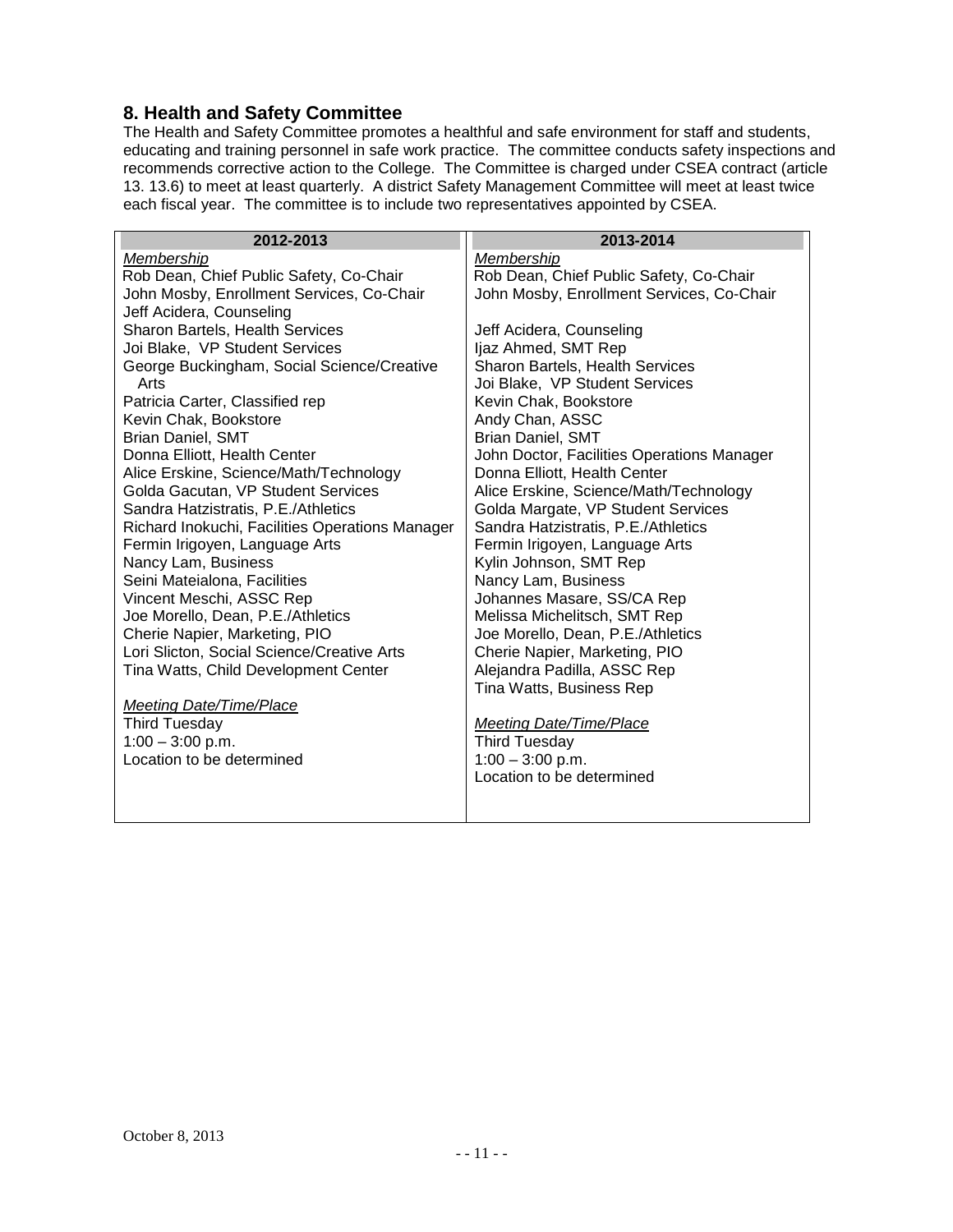#### <span id="page-10-0"></span>**8. Health and Safety Committee**

The Health and Safety Committee promotes a healthful and safe environment for staff and students, educating and training personnel in safe work practice. The committee conducts safety inspections and recommends corrective action to the College. The Committee is charged under CSEA contract (article 13. 13.6) to meet at least quarterly. A district Safety Management Committee will meet at least twice each fiscal year. The committee is to include two representatives appointed by CSEA.

| 2012-2013                                       | 2013-2014                                  |
|-------------------------------------------------|--------------------------------------------|
| Membership                                      | Membership                                 |
| Rob Dean, Chief Public Safety, Co-Chair         | Rob Dean, Chief Public Safety, Co-Chair    |
| John Mosby, Enrollment Services, Co-Chair       | John Mosby, Enrollment Services, Co-Chair  |
| Jeff Acidera, Counseling                        |                                            |
| Sharon Bartels, Health Services                 | Jeff Acidera, Counseling                   |
| Joi Blake, VP Student Services                  | ljaz Ahmed, SMT Rep                        |
| George Buckingham, Social Science/Creative      | Sharon Bartels, Health Services            |
| Arts                                            | Joi Blake, VP Student Services             |
| Patricia Carter, Classified rep                 | Kevin Chak, Bookstore                      |
| Kevin Chak, Bookstore                           | Andy Chan, ASSC                            |
| <b>Brian Daniel, SMT</b>                        | <b>Brian Daniel, SMT</b>                   |
| Donna Elliott, Health Center                    | John Doctor, Facilities Operations Manager |
| Alice Erskine, Science/Math/Technology          | Donna Elliott, Health Center               |
| Golda Gacutan, VP Student Services              | Alice Erskine, Science/Math/Technology     |
| Sandra Hatzistratis, P.E./Athletics             | Golda Margate, VP Student Services         |
| Richard Inokuchi, Facilities Operations Manager | Sandra Hatzistratis, P.E./Athletics        |
| Fermin Irigoyen, Language Arts                  | Fermin Irigoyen, Language Arts             |
| Nancy Lam, Business                             | Kylin Johnson, SMT Rep                     |
| Seini Mateialona, Facilities                    | Nancy Lam, Business                        |
| Vincent Meschi, ASSC Rep                        | Johannes Masare, SS/CA Rep                 |
| Joe Morello, Dean, P.E./Athletics               | Melissa Michelitsch, SMT Rep               |
| Cherie Napier, Marketing, PIO                   | Joe Morello, Dean, P.E./Athletics          |
| Lori Slicton, Social Science/Creative Arts      | Cherie Napier, Marketing, PIO              |
| Tina Watts, Child Development Center            | Alejandra Padilla, ASSC Rep                |
|                                                 | Tina Watts, Business Rep                   |
| <b>Meeting Date/Time/Place</b>                  |                                            |
| <b>Third Tuesday</b>                            | <b>Meeting Date/Time/Place</b>             |
| $1:00 - 3:00$ p.m.                              | <b>Third Tuesday</b>                       |
| Location to be determined                       | $1:00 - 3:00$ p.m.                         |
|                                                 | Location to be determined                  |
|                                                 |                                            |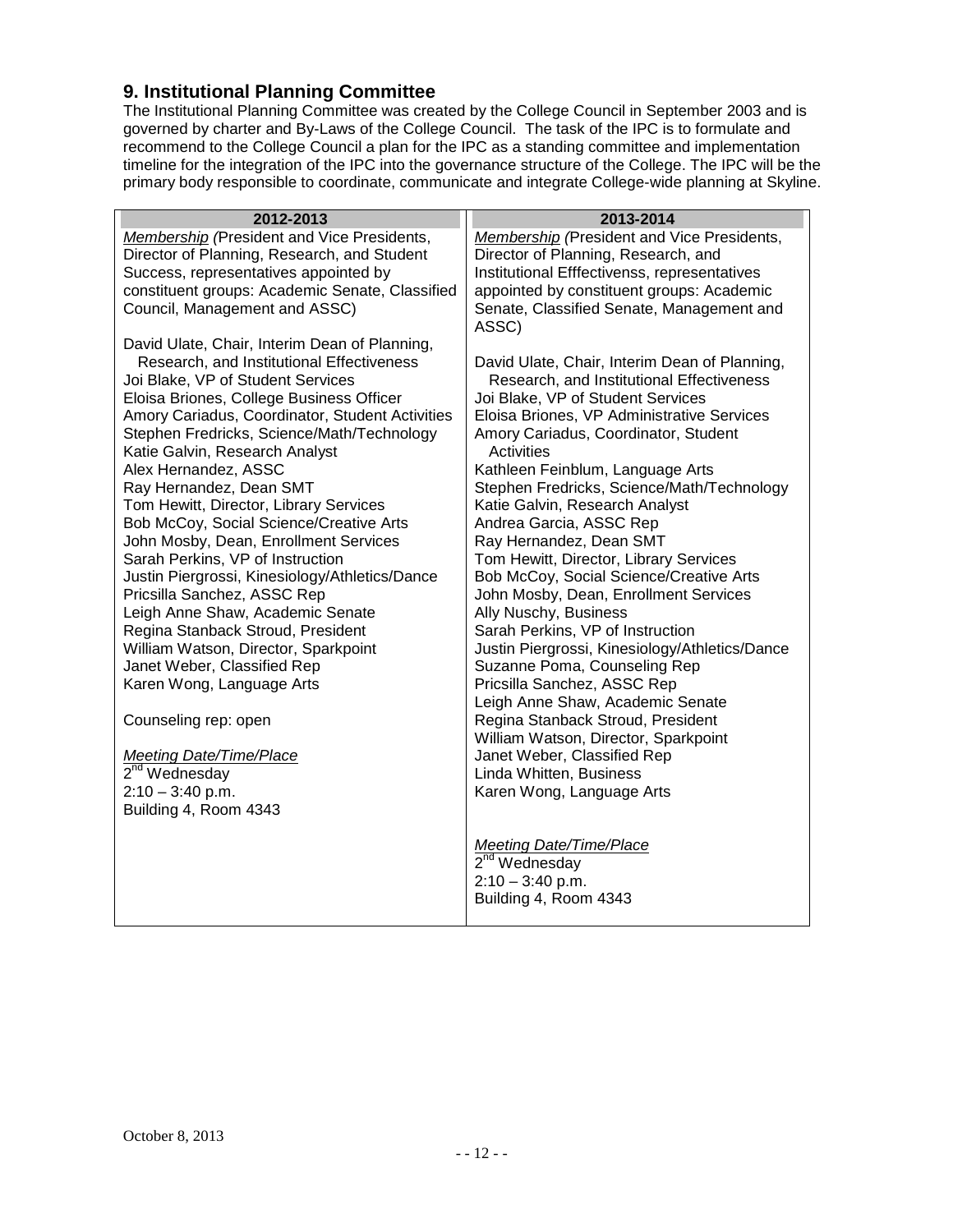#### <span id="page-11-0"></span>**9. Institutional Planning Committee**

The Institutional Planning Committee was created by the College Council in September 2003 and is governed by charter and By-Laws of the College Council. The task of the IPC is to formulate and recommend to the College Council a plan for the IPC as a standing committee and implementation timeline for the integration of the IPC into the governance structure of the College. The IPC will be the primary body responsible to coordinate, communicate and integrate College-wide planning at Skyline.

| 2012-2013                                                                    | 2013-2014                                                                 |
|------------------------------------------------------------------------------|---------------------------------------------------------------------------|
| Membership (President and Vice Presidents,                                   | Membership (President and Vice Presidents,                                |
| Director of Planning, Research, and Student                                  | Director of Planning, Research, and                                       |
| Success, representatives appointed by                                        | Institutional Efffectivenss, representatives                              |
| constituent groups: Academic Senate, Classified                              | appointed by constituent groups: Academic                                 |
| Council, Management and ASSC)                                                | Senate, Classified Senate, Management and<br>ASSC)                        |
| David Ulate, Chair, Interim Dean of Planning,                                |                                                                           |
| Research, and Institutional Effectiveness                                    | David Ulate, Chair, Interim Dean of Planning,                             |
| Joi Blake, VP of Student Services                                            | Research, and Institutional Effectiveness                                 |
| Eloisa Briones, College Business Officer                                     | Joi Blake, VP of Student Services                                         |
| Amory Cariadus, Coordinator, Student Activities                              | Eloisa Briones, VP Administrative Services                                |
| Stephen Fredricks, Science/Math/Technology<br>Katie Galvin, Research Analyst | Amory Cariadus, Coordinator, Student<br>Activities                        |
| Alex Hernandez, ASSC                                                         | Kathleen Feinblum, Language Arts                                          |
| Ray Hernandez, Dean SMT                                                      | Stephen Fredricks, Science/Math/Technology                                |
| Tom Hewitt, Director, Library Services                                       | Katie Galvin, Research Analyst                                            |
| Bob McCoy, Social Science/Creative Arts                                      | Andrea Garcia, ASSC Rep                                                   |
| John Mosby, Dean, Enrollment Services                                        | Ray Hernandez, Dean SMT                                                   |
| Sarah Perkins, VP of Instruction                                             | Tom Hewitt, Director, Library Services                                    |
| Justin Piergrossi, Kinesiology/Athletics/Dance                               | Bob McCoy, Social Science/Creative Arts                                   |
| Pricsilla Sanchez, ASSC Rep                                                  | John Mosby, Dean, Enrollment Services                                     |
| Leigh Anne Shaw, Academic Senate                                             | Ally Nuschy, Business                                                     |
| Regina Stanback Stroud, President                                            | Sarah Perkins, VP of Instruction                                          |
| William Watson, Director, Sparkpoint                                         | Justin Piergrossi, Kinesiology/Athletics/Dance                            |
| Janet Weber, Classified Rep                                                  | Suzanne Poma, Counseling Rep                                              |
| Karen Wong, Language Arts                                                    | Pricsilla Sanchez, ASSC Rep                                               |
|                                                                              | Leigh Anne Shaw, Academic Senate                                          |
| Counseling rep: open                                                         | Regina Stanback Stroud, President<br>William Watson, Director, Sparkpoint |
| <b>Meeting Date/Time/Place</b>                                               | Janet Weber, Classified Rep                                               |
| 2 <sup>nd</sup> Wednesday                                                    | Linda Whitten, Business                                                   |
| $2:10 - 3:40$ p.m.                                                           | Karen Wong, Language Arts                                                 |
| Building 4, Room 4343                                                        |                                                                           |
|                                                                              |                                                                           |
|                                                                              | <b>Meeting Date/Time/Place</b>                                            |
|                                                                              | $2nd$ Wednesday                                                           |
|                                                                              | $2:10 - 3:40$ p.m.                                                        |
|                                                                              | Building 4, Room 4343                                                     |
|                                                                              |                                                                           |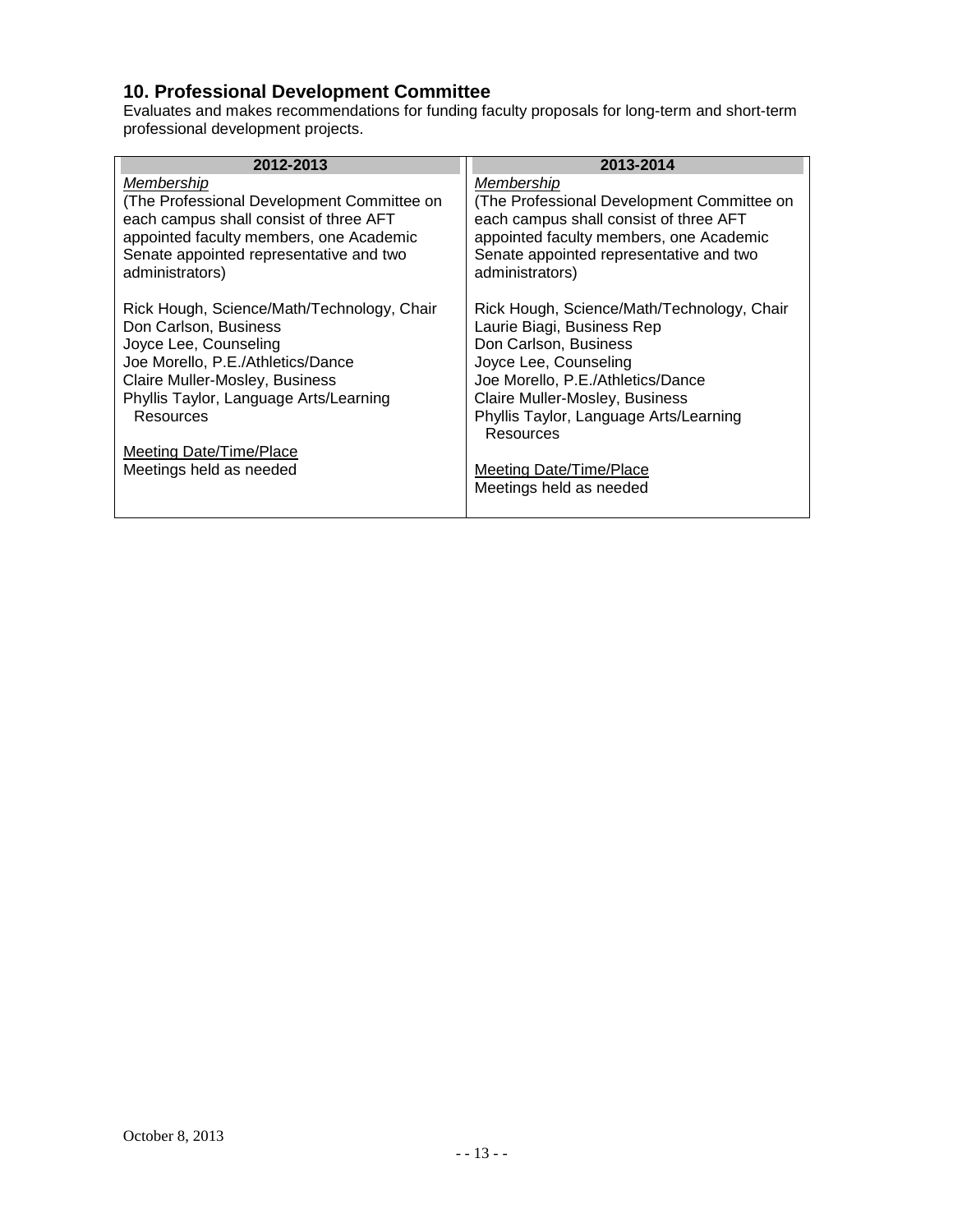# <span id="page-12-0"></span>**10. Professional Development Committee**

Evaluates and makes recommendations for funding faculty proposals for long-term and short-term professional development projects.

| 2012-2013                                                                                                                                                                                                                                                                               | 2013-2014                                                                                                                                                                                                                                                                                                      |
|-----------------------------------------------------------------------------------------------------------------------------------------------------------------------------------------------------------------------------------------------------------------------------------------|----------------------------------------------------------------------------------------------------------------------------------------------------------------------------------------------------------------------------------------------------------------------------------------------------------------|
| Membership<br>(The Professional Development Committee on<br>each campus shall consist of three AFT<br>appointed faculty members, one Academic<br>Senate appointed representative and two<br>administrators)                                                                             | Membership<br>(The Professional Development Committee on<br>each campus shall consist of three AFT<br>appointed faculty members, one Academic<br>Senate appointed representative and two<br>administrators)                                                                                                    |
| Rick Hough, Science/Math/Technology, Chair<br>Don Carlson, Business<br>Joyce Lee, Counseling<br>Joe Morello, P.E./Athletics/Dance<br>Claire Muller-Mosley, Business<br>Phyllis Taylor, Language Arts/Learning<br>Resources<br><b>Meeting Date/Time/Place</b><br>Meetings held as needed | Rick Hough, Science/Math/Technology, Chair<br>Laurie Biagi, Business Rep<br>Don Carlson, Business<br>Joyce Lee, Counseling<br>Joe Morello, P.E./Athletics/Dance<br>Claire Muller-Mosley, Business<br>Phyllis Taylor, Language Arts/Learning<br>Resources<br>Meeting Date/Time/Place<br>Meetings held as needed |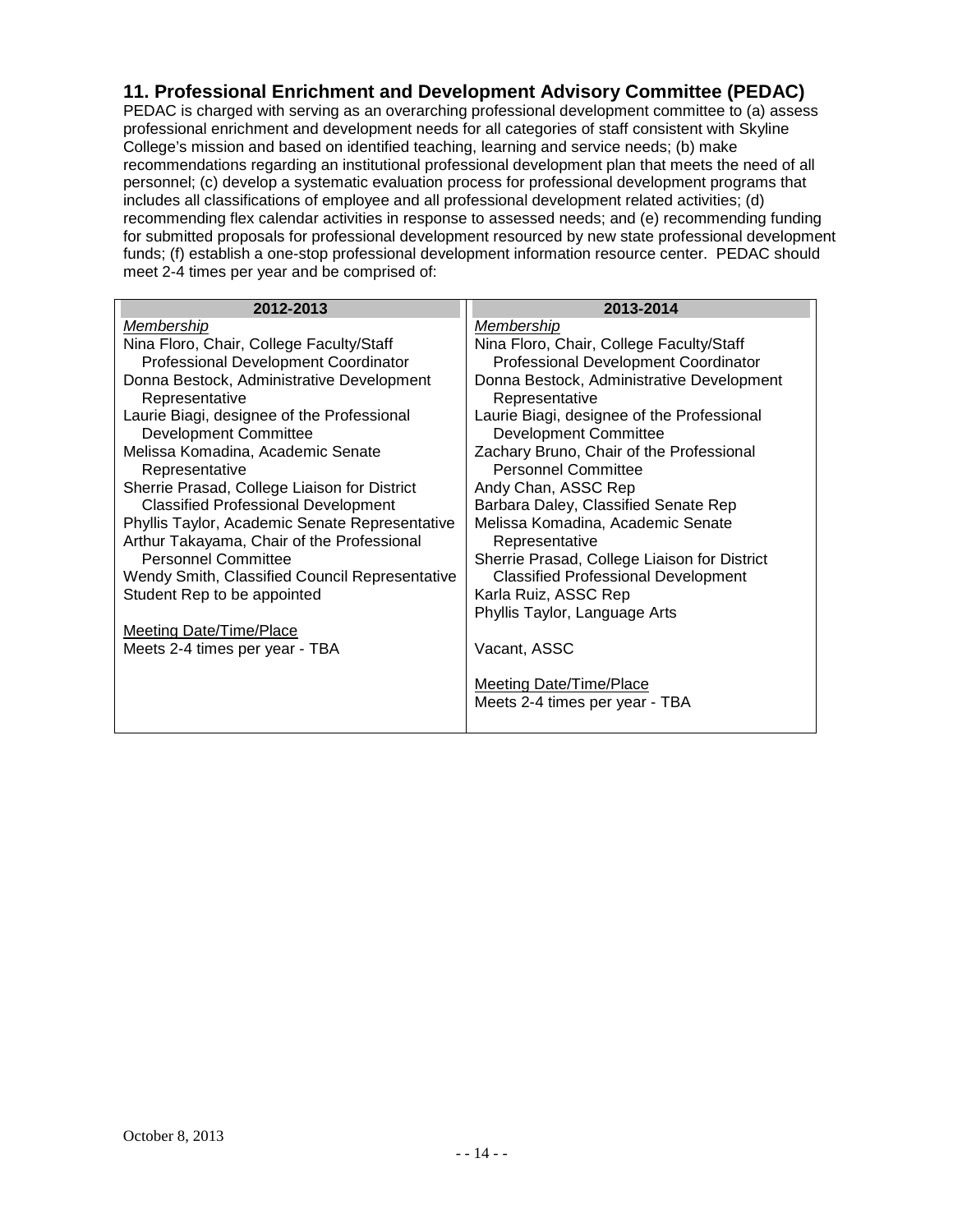#### <span id="page-13-0"></span>**11. Professional Enrichment and Development Advisory Committee (PEDAC)**

PEDAC is charged with serving as an overarching professional development committee to (a) assess professional enrichment and development needs for all categories of staff consistent with Skyline College's mission and based on identified teaching, learning and service needs; (b) make recommendations regarding an institutional professional development plan that meets the need of all personnel; (c) develop a systematic evaluation process for professional development programs that includes all classifications of employee and all professional development related activities; (d) recommending flex calendar activities in response to assessed needs; and (e) recommending funding for submitted proposals for professional development resourced by new state professional development funds; (f) establish a one-stop professional development information resource center. PEDAC should meet 2-4 times per year and be comprised of:

| 2012-2013                                      | 2013-2014                                    |
|------------------------------------------------|----------------------------------------------|
| <u>Membership</u>                              | <u>Membership</u>                            |
| Nina Floro, Chair, College Faculty/Staff       | Nina Floro, Chair, College Faculty/Staff     |
| <b>Professional Development Coordinator</b>    | Professional Development Coordinator         |
| Donna Bestock, Administrative Development      | Donna Bestock, Administrative Development    |
| Representative                                 | Representative                               |
| Laurie Biagi, designee of the Professional     | Laurie Biagi, designee of the Professional   |
| <b>Development Committee</b>                   | <b>Development Committee</b>                 |
| Melissa Komadina, Academic Senate              | Zachary Bruno, Chair of the Professional     |
| Representative                                 | <b>Personnel Committee</b>                   |
| Sherrie Prasad, College Liaison for District   | Andy Chan, ASSC Rep                          |
| <b>Classified Professional Development</b>     | Barbara Daley, Classified Senate Rep         |
| Phyllis Taylor, Academic Senate Representative | Melissa Komadina, Academic Senate            |
| Arthur Takayama, Chair of the Professional     | Representative                               |
| <b>Personnel Committee</b>                     | Sherrie Prasad, College Liaison for District |
| Wendy Smith, Classified Council Representative | <b>Classified Professional Development</b>   |
| Student Rep to be appointed                    | Karla Ruiz, ASSC Rep                         |
|                                                | Phyllis Taylor, Language Arts                |
| <b>Meeting Date/Time/Place</b>                 |                                              |
| Meets 2-4 times per year - TBA                 | Vacant, ASSC                                 |
|                                                |                                              |
|                                                | Meeting Date/Time/Place                      |
|                                                | Meets 2-4 times per year - TBA               |
|                                                |                                              |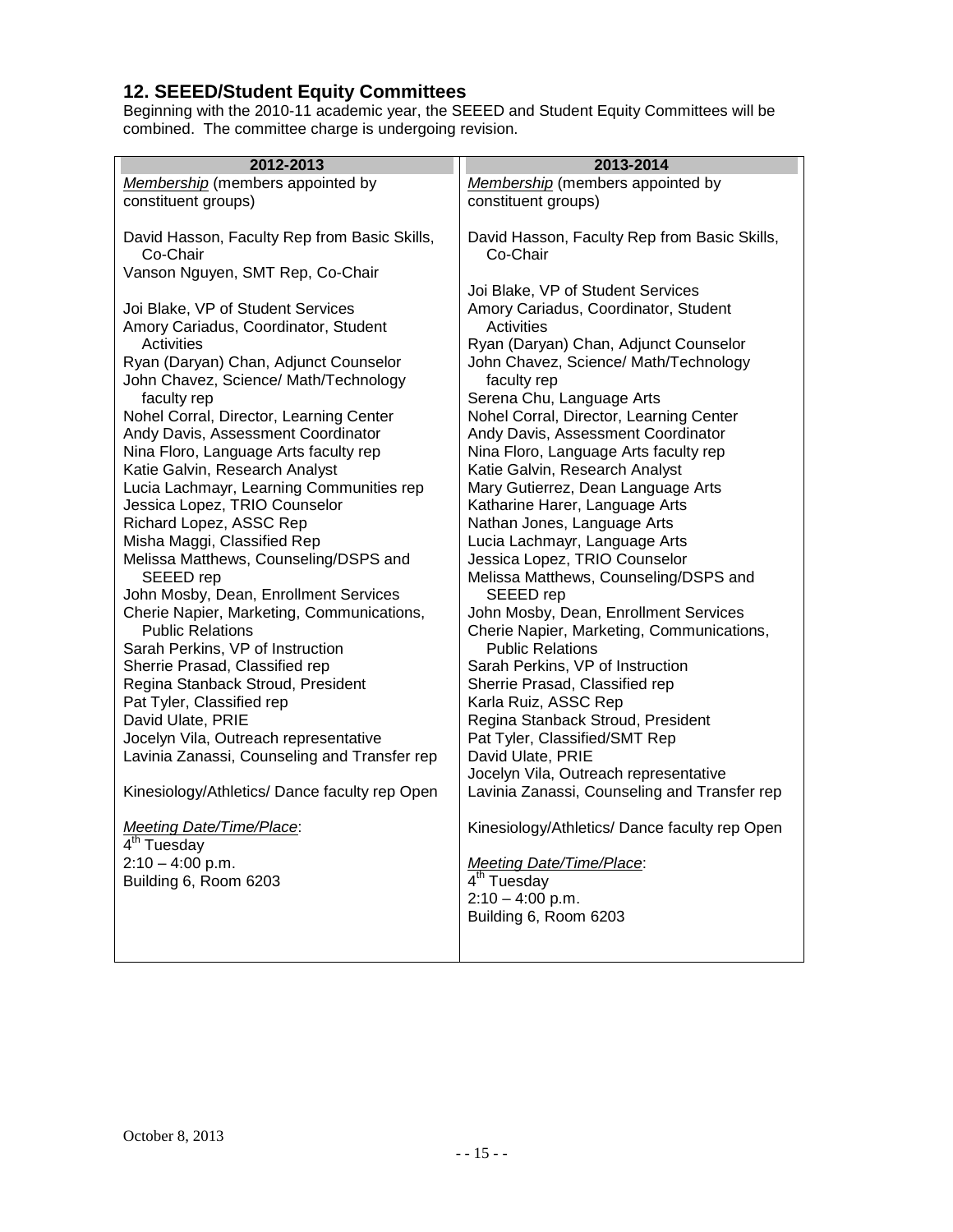#### <span id="page-14-0"></span>**12. SEEED/Student Equity Committees**

Beginning with the 2010-11 academic year, the SEEED and Student Equity Committees will be combined. The committee charge is undergoing revision.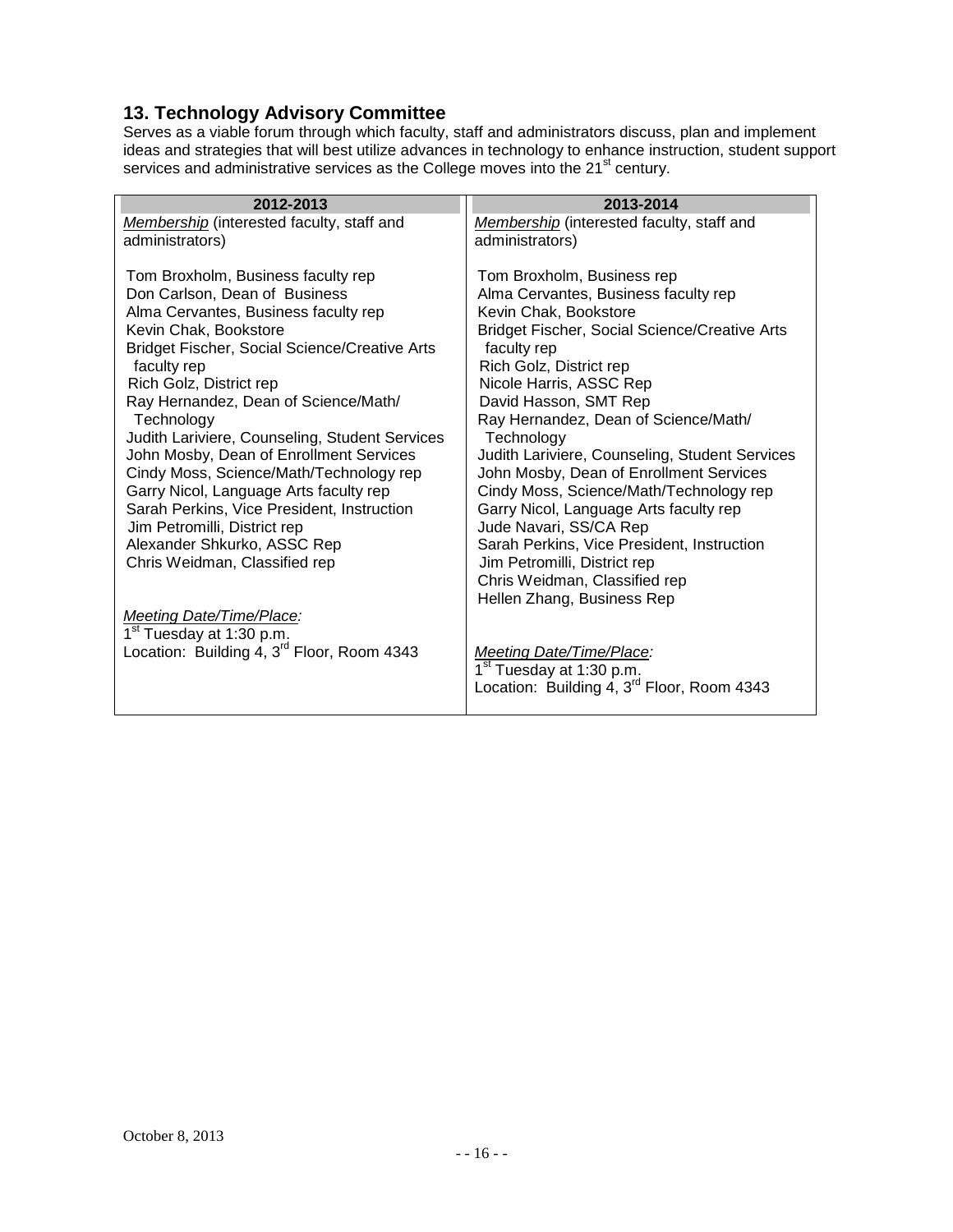# <span id="page-15-0"></span>**13. Technology Advisory Committee**

Serves as a viable forum through which faculty, staff and administrators discuss, plan and implement ideas and strategies that will best utilize advances in technology to enhance instruction, student support services and administrative services as the College moves into the 21 $^{\rm st}$  century.

| 2012-2013                                                                          | 2013-2014                                                                                 |
|------------------------------------------------------------------------------------|-------------------------------------------------------------------------------------------|
| Membership (interested faculty, staff and                                          | Membership (interested faculty, staff and                                                 |
| administrators)                                                                    | administrators)                                                                           |
|                                                                                    |                                                                                           |
| Tom Broxholm, Business faculty rep                                                 | Tom Broxholm, Business rep                                                                |
| Don Carlson, Dean of Business                                                      | Alma Cervantes, Business faculty rep                                                      |
| Alma Cervantes, Business faculty rep                                               | Kevin Chak, Bookstore                                                                     |
| Kevin Chak, Bookstore                                                              | <b>Bridget Fischer, Social Science/Creative Arts</b>                                      |
| <b>Bridget Fischer, Social Science/Creative Arts</b>                               | faculty rep                                                                               |
| faculty rep                                                                        | Rich Golz, District rep                                                                   |
| Rich Golz, District rep                                                            | Nicole Harris, ASSC Rep                                                                   |
| Ray Hernandez, Dean of Science/Math/                                               | David Hasson, SMT Rep                                                                     |
| Technology                                                                         | Ray Hernandez, Dean of Science/Math/                                                      |
| Judith Lariviere, Counseling, Student Services                                     | Technology                                                                                |
| John Mosby, Dean of Enrollment Services<br>Cindy Moss, Science/Math/Technology rep | Judith Lariviere, Counseling, Student Services<br>John Mosby, Dean of Enrollment Services |
| Garry Nicol, Language Arts faculty rep                                             | Cindy Moss, Science/Math/Technology rep                                                   |
| Sarah Perkins, Vice President, Instruction                                         | Garry Nicol, Language Arts faculty rep                                                    |
| Jim Petromilli, District rep                                                       | Jude Navari, SS/CA Rep                                                                    |
| Alexander Shkurko, ASSC Rep                                                        | Sarah Perkins, Vice President, Instruction                                                |
| Chris Weidman, Classified rep                                                      | Jim Petromilli, District rep                                                              |
|                                                                                    | Chris Weidman, Classified rep                                                             |
|                                                                                    | Hellen Zhang, Business Rep                                                                |
| <b>Meeting Date/Time/Place:</b>                                                    |                                                                                           |
| 1 <sup>st</sup> Tuesday at 1:30 p.m.                                               |                                                                                           |
| Location: Building 4, 3 <sup>rd</sup> Floor, Room 4343                             | <b>Meeting Date/Time/Place:</b>                                                           |
|                                                                                    | 1 <sup>st</sup> Tuesday at 1:30 p.m.                                                      |
|                                                                                    | Location: Building $4, 3^{rd}$ Floor, Room 4343                                           |
|                                                                                    |                                                                                           |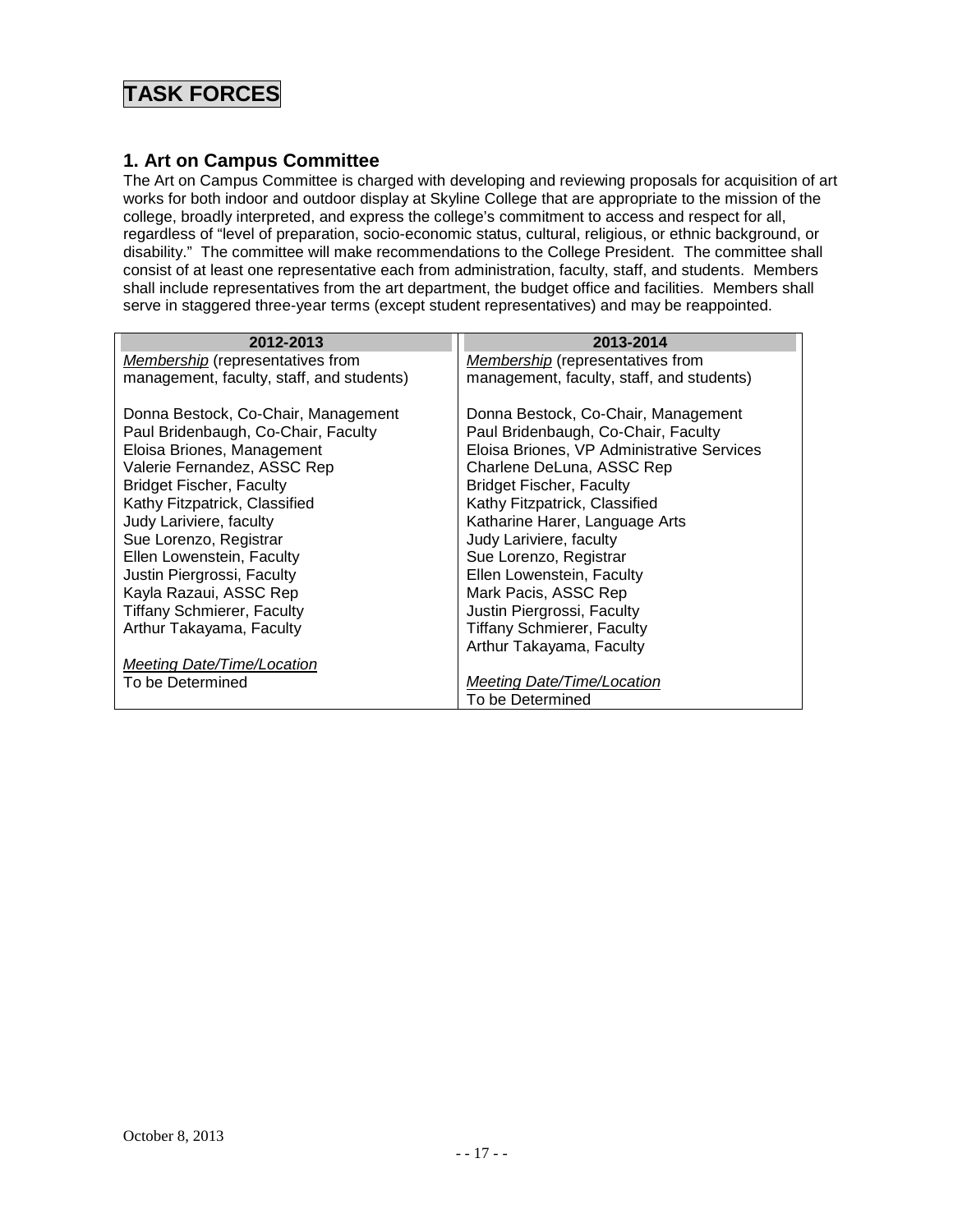# **TASK FORCES**

#### <span id="page-16-0"></span>**1. Art on Campus Committee**

The Art on Campus Committee is charged with developing and reviewing proposals for acquisition of art works for both indoor and outdoor display at Skyline College that are appropriate to the mission of the college, broadly interpreted, and express the college's commitment to access and respect for all, regardless of "level of preparation, socio-economic status, cultural, religious, or ethnic background, or disability." The committee will make recommendations to the College President. The committee shall consist of at least one representative each from administration, faculty, staff, and students. Members shall include representatives from the art department, the budget office and facilities. Members shall serve in staggered three-year terms (except student representatives) and may be reappointed.

| 2012-2013                                 | 2013-2014                                  |
|-------------------------------------------|--------------------------------------------|
| <b>Membership</b> (representatives from   | <b>Membership</b> (representatives from    |
| management, faculty, staff, and students) | management, faculty, staff, and students)  |
| Donna Bestock, Co-Chair, Management       | Donna Bestock, Co-Chair, Management        |
| Paul Bridenbaugh, Co-Chair, Faculty       | Paul Bridenbaugh, Co-Chair, Faculty        |
| Eloisa Briones, Management                | Eloisa Briones, VP Administrative Services |
| Valerie Fernandez, ASSC Rep               | Charlene DeLuna, ASSC Rep                  |
| <b>Bridget Fischer, Faculty</b>           | <b>Bridget Fischer, Faculty</b>            |
| Kathy Fitzpatrick, Classified             | Kathy Fitzpatrick, Classified              |
| Judy Lariviere, faculty                   | Katharine Harer, Language Arts             |
| Sue Lorenzo, Registrar                    | Judy Lariviere, faculty                    |
| Ellen Lowenstein, Faculty                 | Sue Lorenzo, Registrar                     |
| Justin Piergrossi, Faculty                | Ellen Lowenstein, Faculty                  |
| Kayla Razaui, ASSC Rep                    | Mark Pacis, ASSC Rep                       |
| <b>Tiffany Schmierer, Faculty</b>         | Justin Piergrossi, Faculty                 |
| Arthur Takayama, Faculty                  | <b>Tiffany Schmierer, Faculty</b>          |
|                                           | Arthur Takayama, Faculty                   |
| Meeting Date/Time/Location                |                                            |
| To be Determined                          | Meeting Date/Time/Location                 |
|                                           | To be Determined                           |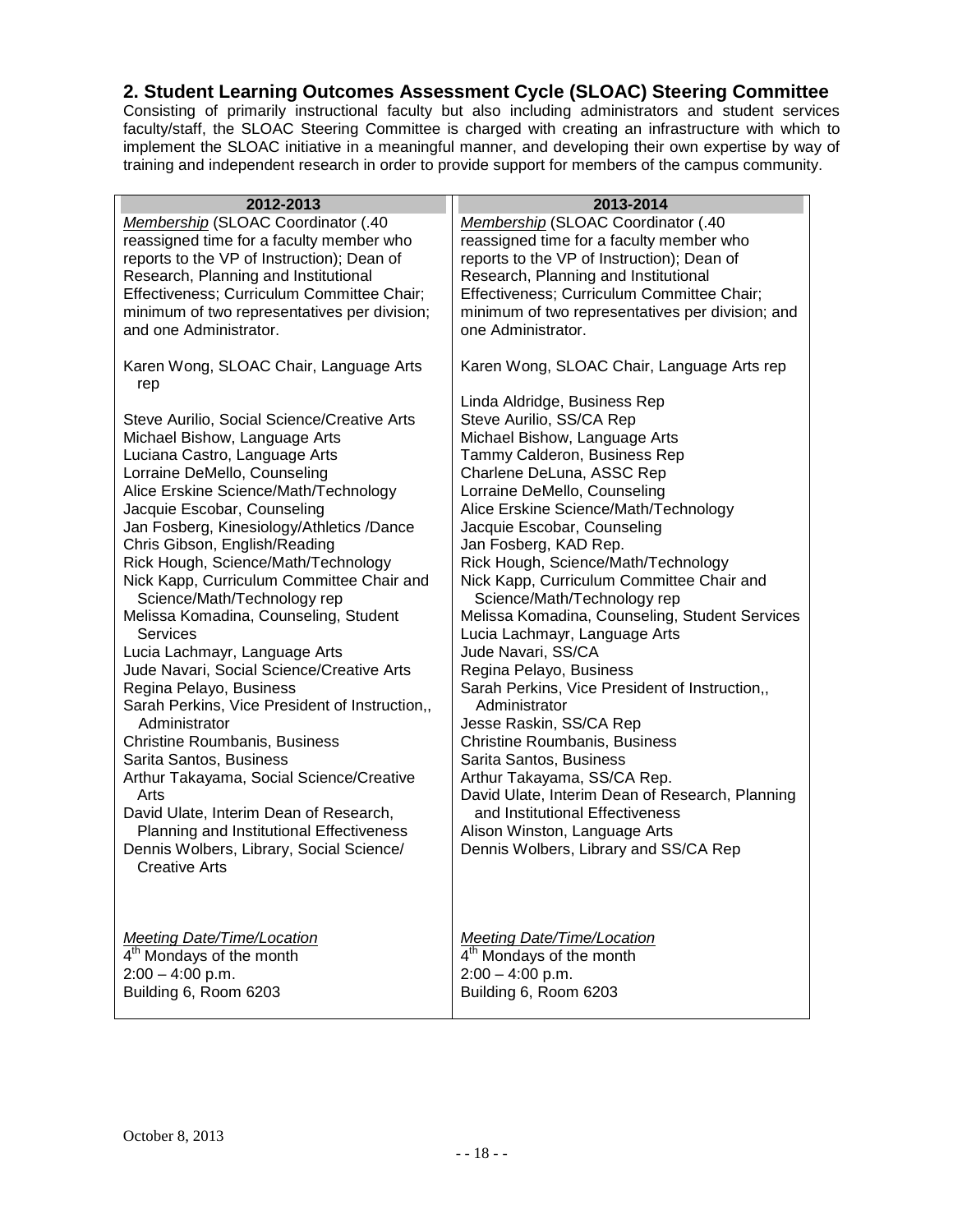#### <span id="page-17-0"></span>**2. Student Learning Outcomes Assessment Cycle (SLOAC) Steering Committee**

Consisting of primarily instructional faculty but also including administrators and student services faculty/staff, the SLOAC Steering Committee is charged with creating an infrastructure with which to implement the SLOAC initiative in a meaningful manner, and developing their own expertise by way of training and independent research in order to provide support for members of the campus community.

| 2012-2013                                                            | 2013-2014                                                                 |
|----------------------------------------------------------------------|---------------------------------------------------------------------------|
| Membership (SLOAC Coordinator (.40                                   | <b>Membership (SLOAC Coordinator (.40</b>                                 |
| reassigned time for a faculty member who                             | reassigned time for a faculty member who                                  |
| reports to the VP of Instruction); Dean of                           | reports to the VP of Instruction); Dean of                                |
| Research, Planning and Institutional                                 | Research, Planning and Institutional                                      |
| Effectiveness; Curriculum Committee Chair;                           | Effectiveness; Curriculum Committee Chair;                                |
| minimum of two representatives per division;                         | minimum of two representatives per division; and                          |
| and one Administrator.                                               | one Administrator.                                                        |
|                                                                      |                                                                           |
| Karen Wong, SLOAC Chair, Language Arts<br>rep                        | Karen Wong, SLOAC Chair, Language Arts rep                                |
|                                                                      | Linda Aldridge, Business Rep                                              |
| Steve Aurilio, Social Science/Creative Arts                          | Steve Aurilio, SS/CA Rep                                                  |
| Michael Bishow, Language Arts                                        | Michael Bishow, Language Arts                                             |
| Luciana Castro, Language Arts                                        | Tammy Calderon, Business Rep                                              |
| Lorraine DeMello, Counseling                                         | Charlene DeLuna, ASSC Rep                                                 |
| Alice Erskine Science/Math/Technology                                | Lorraine DeMello, Counseling                                              |
| Jacquie Escobar, Counseling                                          | Alice Erskine Science/Math/Technology                                     |
| Jan Fosberg, Kinesiology/Athletics /Dance                            | Jacquie Escobar, Counseling                                               |
| Chris Gibson, English/Reading                                        | Jan Fosberg, KAD Rep.                                                     |
| Rick Hough, Science/Math/Technology                                  | Rick Hough, Science/Math/Technology                                       |
| Nick Kapp, Curriculum Committee Chair and                            | Nick Kapp, Curriculum Committee Chair and                                 |
| Science/Math/Technology rep                                          | Science/Math/Technology rep                                               |
| Melissa Komadina, Counseling, Student                                | Melissa Komadina, Counseling, Student Services                            |
| Services                                                             | Lucia Lachmayr, Language Arts                                             |
| Lucia Lachmayr, Language Arts                                        | Jude Navari, SS/CA                                                        |
| Jude Navari, Social Science/Creative Arts<br>Regina Pelayo, Business | Regina Pelayo, Business<br>Sarah Perkins, Vice President of Instruction,, |
| Sarah Perkins, Vice President of Instruction,,                       | Administrator                                                             |
| Administrator                                                        | Jesse Raskin, SS/CA Rep                                                   |
| <b>Christine Roumbanis, Business</b>                                 | <b>Christine Roumbanis, Business</b>                                      |
| Sarita Santos, Business                                              | Sarita Santos, Business                                                   |
| Arthur Takayama, Social Science/Creative                             | Arthur Takayama, SS/CA Rep.                                               |
| Arts                                                                 | David Ulate, Interim Dean of Research, Planning                           |
| David Ulate, Interim Dean of Research,                               | and Institutional Effectiveness                                           |
| Planning and Institutional Effectiveness                             | Alison Winston, Language Arts                                             |
| Dennis Wolbers, Library, Social Science/                             | Dennis Wolbers, Library and SS/CA Rep                                     |
| <b>Creative Arts</b>                                                 |                                                                           |
|                                                                      |                                                                           |
|                                                                      |                                                                           |
| <b>Meeting Date/Time/Location</b>                                    | <b>Meeting Date/Time/Location</b>                                         |
| 4 <sup>th</sup> Mondays of the month                                 | 4 <sup>th</sup> Mondays of the month                                      |
| $2:00 - 4:00$ p.m.                                                   | $2:00 - 4:00$ p.m.                                                        |
| Building 6, Room 6203                                                | Building 6, Room 6203                                                     |
|                                                                      |                                                                           |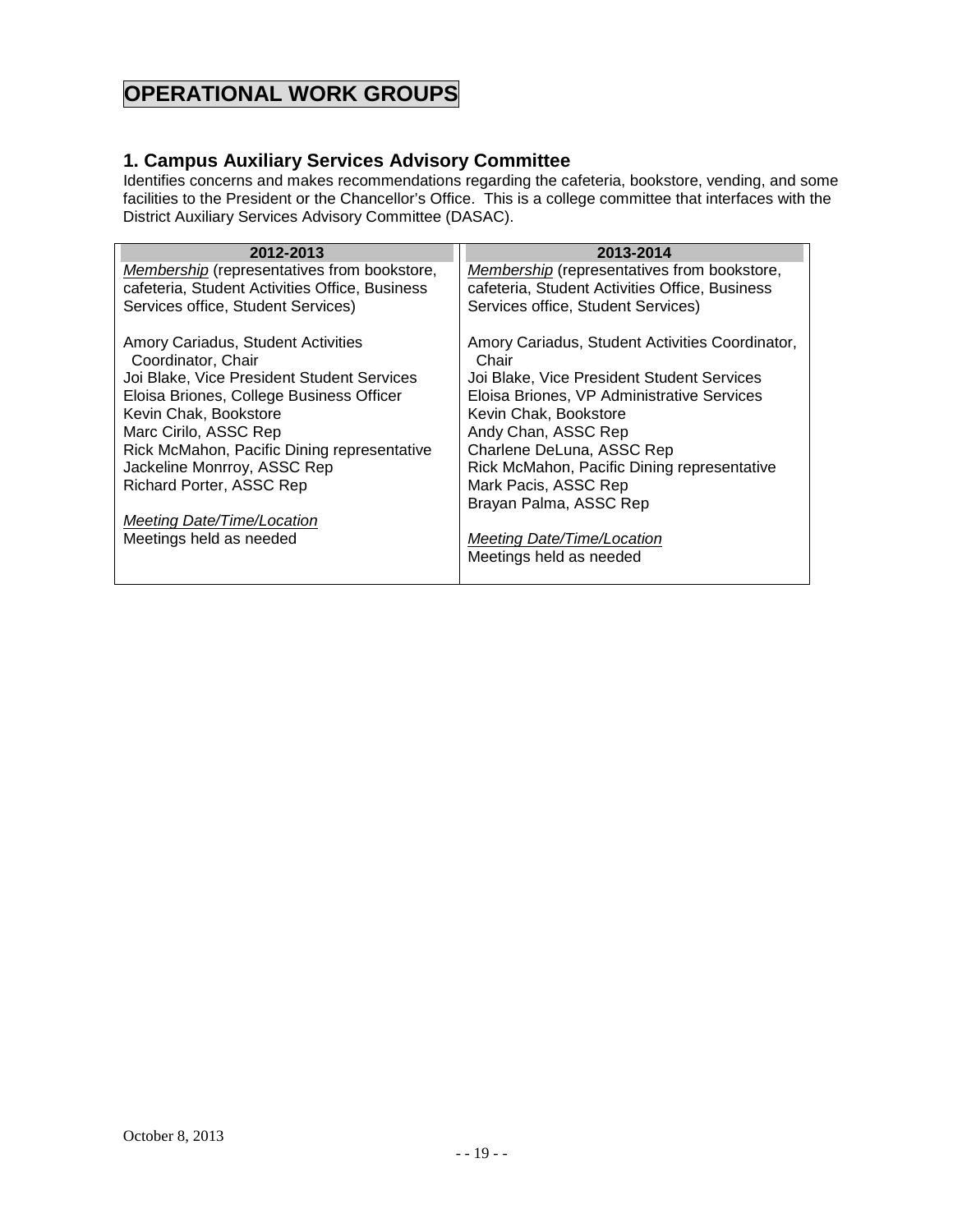# **OPERATIONAL WORK GROUPS**

#### <span id="page-18-0"></span>**1. Campus Auxiliary Services Advisory Committee**

Identifies concerns and makes recommendations regarding the cafeteria, bookstore, vending, and some facilities to the President or the Chancellor's Office. This is a college committee that interfaces with the District Auxiliary Services Advisory Committee (DASAC).

| 2012-2013                                                                                                                                          | 2013-2014                                                                                                                                            |
|----------------------------------------------------------------------------------------------------------------------------------------------------|------------------------------------------------------------------------------------------------------------------------------------------------------|
| Membership (representatives from bookstore,                                                                                                        | Membership (representatives from bookstore,                                                                                                          |
| cafeteria, Student Activities Office, Business                                                                                                     | cafeteria, Student Activities Office, Business                                                                                                       |
| Services office, Student Services)                                                                                                                 | Services office, Student Services)                                                                                                                   |
| Amory Cariadus, Student Activities<br>Coordinator, Chair<br>Joi Blake, Vice President Student Services<br>Eloisa Briones, College Business Officer | Amory Cariadus, Student Activities Coordinator,<br>Chair<br>Joi Blake, Vice President Student Services<br>Eloisa Briones, VP Administrative Services |
| Kevin Chak, Bookstore                                                                                                                              | Kevin Chak, Bookstore                                                                                                                                |
| Marc Cirilo, ASSC Rep                                                                                                                              | Andy Chan, ASSC Rep                                                                                                                                  |
| Rick McMahon, Pacific Dining representative                                                                                                        | Charlene DeLuna, ASSC Rep                                                                                                                            |
| Jackeline Monrroy, ASSC Rep                                                                                                                        | Rick McMahon, Pacific Dining representative                                                                                                          |
| Richard Porter, ASSC Rep                                                                                                                           | Mark Pacis, ASSC Rep                                                                                                                                 |
|                                                                                                                                                    | Brayan Palma, ASSC Rep                                                                                                                               |
| <b>Meeting Date/Time/Location</b>                                                                                                                  |                                                                                                                                                      |
| Meetings held as needed                                                                                                                            | Meeting Date/Time/Location                                                                                                                           |
|                                                                                                                                                    | Meetings held as needed                                                                                                                              |
|                                                                                                                                                    |                                                                                                                                                      |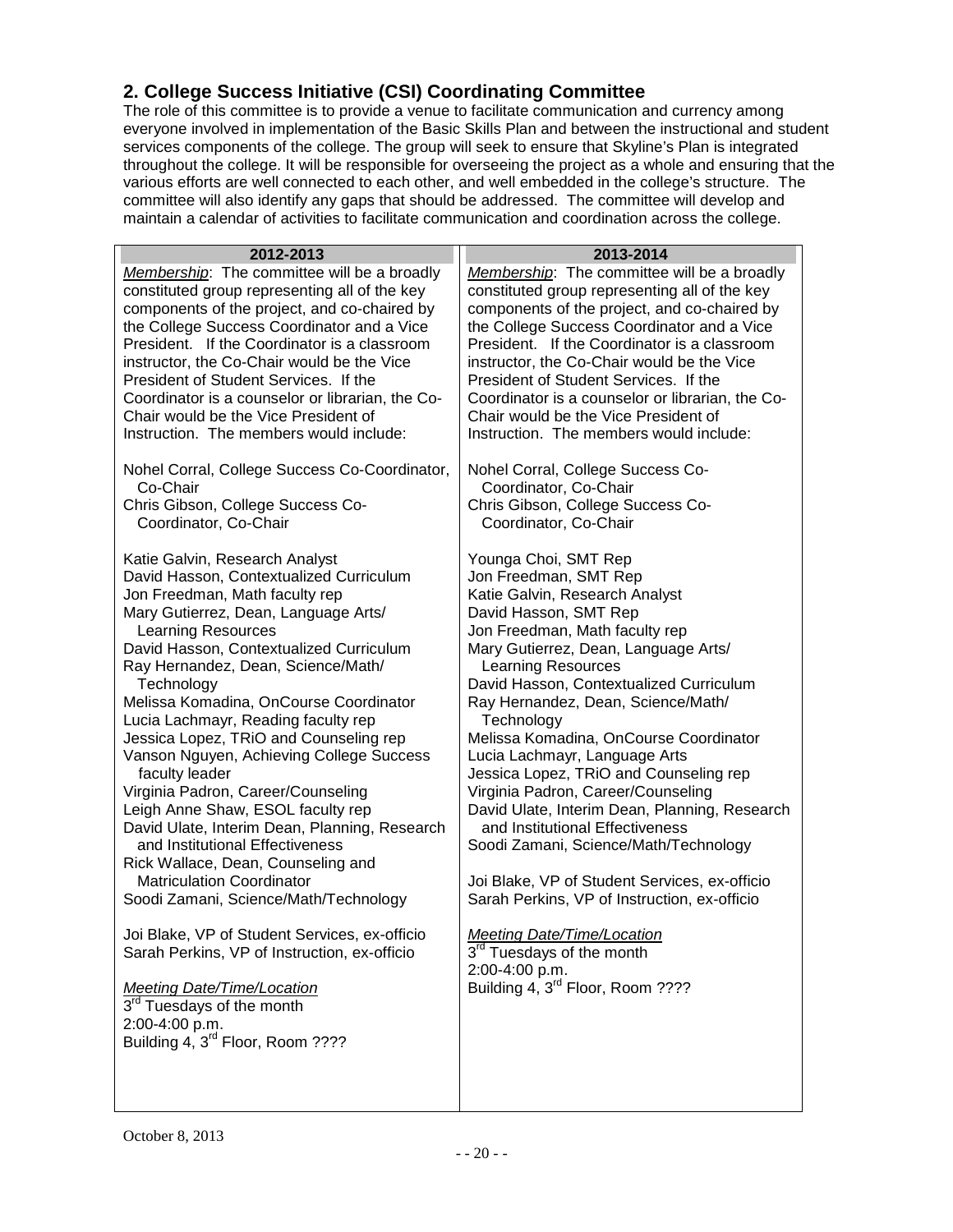## <span id="page-19-0"></span>**2. College Success Initiative (CSI) Coordinating Committee**

The role of this committee is to provide a venue to facilitate communication and currency among everyone involved in implementation of the Basic Skills Plan and between the instructional and student services components of the college. The group will seek to ensure that Skyline's Plan is integrated throughout the college. It will be responsible for overseeing the project as a whole and ensuring that the various efforts are well connected to each other, and well embedded in the college's structure. The committee will also identify any gaps that should be addressed. The committee will develop and maintain a calendar of activities to facilitate communication and coordination across the college.

| 2012-2013                                        | 2013-2014                                        |
|--------------------------------------------------|--------------------------------------------------|
| Membership: The committee will be a broadly      | Membership: The committee will be a broadly      |
| constituted group representing all of the key    | constituted group representing all of the key    |
| components of the project, and co-chaired by     | components of the project, and co-chaired by     |
| the College Success Coordinator and a Vice       | the College Success Coordinator and a Vice       |
| President. If the Coordinator is a classroom     | President. If the Coordinator is a classroom     |
| instructor, the Co-Chair would be the Vice       | instructor, the Co-Chair would be the Vice       |
| President of Student Services. If the            | President of Student Services. If the            |
| Coordinator is a counselor or librarian, the Co- | Coordinator is a counselor or librarian, the Co- |
| Chair would be the Vice President of             | Chair would be the Vice President of             |
| Instruction. The members would include:          | Instruction. The members would include:          |
| Nohel Corral, College Success Co-Coordinator,    | Nohel Corral, College Success Co-                |
| Co-Chair                                         | Coordinator, Co-Chair                            |
| Chris Gibson, College Success Co-                | Chris Gibson, College Success Co-                |
| Coordinator, Co-Chair                            | Coordinator, Co-Chair                            |
|                                                  |                                                  |
| Katie Galvin, Research Analyst                   | Younga Choi, SMT Rep                             |
| David Hasson, Contextualized Curriculum          | Jon Freedman, SMT Rep                            |
| Jon Freedman, Math faculty rep                   | Katie Galvin, Research Analyst                   |
| Mary Gutierrez, Dean, Language Arts/             | David Hasson, SMT Rep                            |
| <b>Learning Resources</b>                        | Jon Freedman, Math faculty rep                   |
| David Hasson, Contextualized Curriculum          | Mary Gutierrez, Dean, Language Arts/             |
| Ray Hernandez, Dean, Science/Math/               | Learning Resources                               |
| Technology                                       | David Hasson, Contextualized Curriculum          |
| Melissa Komadina, OnCourse Coordinator           | Ray Hernandez, Dean, Science/Math/               |
| Lucia Lachmayr, Reading faculty rep              | Technology                                       |
| Jessica Lopez, TRiO and Counseling rep           | Melissa Komadina, OnCourse Coordinator           |
| Vanson Nguyen, Achieving College Success         | Lucia Lachmayr, Language Arts                    |
| faculty leader                                   | Jessica Lopez, TRiO and Counseling rep           |
| Virginia Padron, Career/Counseling               | Virginia Padron, Career/Counseling               |
| Leigh Anne Shaw, ESOL faculty rep                | David Ulate, Interim Dean, Planning, Research    |
| David Ulate, Interim Dean, Planning, Research    | and Institutional Effectiveness                  |
| and Institutional Effectiveness                  | Soodi Zamani, Science/Math/Technology            |
| Rick Wallace, Dean, Counseling and               |                                                  |
| <b>Matriculation Coordinator</b>                 | Joi Blake, VP of Student Services, ex-officio    |
| Soodi Zamani, Science/Math/Technology            | Sarah Perkins, VP of Instruction, ex-officio     |
|                                                  |                                                  |
| Joi Blake, VP of Student Services, ex-officio    | <b>Meeting Date/Time/Location</b>                |
| Sarah Perkins, VP of Instruction, ex-officio     | 3 <sup>rd</sup> Tuesdays of the month            |
|                                                  | 2:00-4:00 p.m.                                   |
| <b>Meeting Date/Time/Location</b>                | Building 4, 3 <sup>rd</sup> Floor, Room ????     |
| 3 <sup>rd</sup> Tuesdays of the month            |                                                  |
| 2:00-4:00 p.m.                                   |                                                  |
| Building 4, 3 <sup>rd</sup> Floor, Room ????     |                                                  |
|                                                  |                                                  |
|                                                  |                                                  |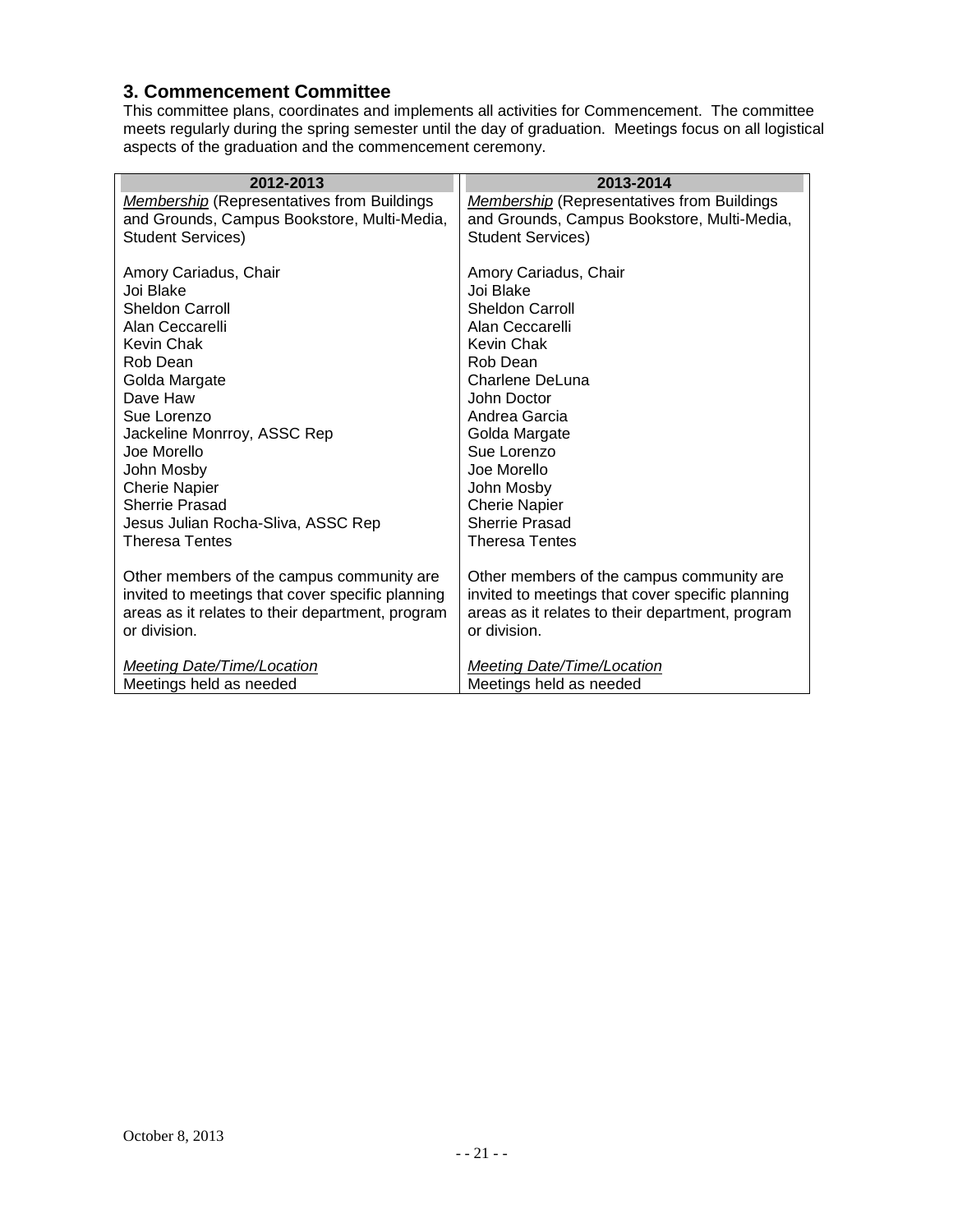#### <span id="page-20-0"></span>**3. Commencement Committee**

This committee plans, coordinates and implements all activities for Commencement. The committee meets regularly during the spring semester until the day of graduation. Meetings focus on all logistical aspects of the graduation and the commencement ceremony.

| 2012-2013                                         | 2013-2014                                         |
|---------------------------------------------------|---------------------------------------------------|
| <b>Membership (Representatives from Buildings</b> | <b>Membership</b> (Representatives from Buildings |
| and Grounds, Campus Bookstore, Multi-Media,       | and Grounds, Campus Bookstore, Multi-Media,       |
| <b>Student Services)</b>                          | <b>Student Services)</b>                          |
| Amory Cariadus, Chair                             | Amory Cariadus, Chair                             |
| Joi Blake                                         | Joi Blake                                         |
| <b>Sheldon Carroll</b>                            | <b>Sheldon Carroll</b>                            |
| Alan Ceccarelli                                   | Alan Ceccarelli                                   |
| Kevin Chak                                        | <b>Kevin Chak</b>                                 |
| Rob Dean                                          | Rob Dean                                          |
| Golda Margate                                     | Charlene DeLuna                                   |
| Dave Haw                                          | John Doctor                                       |
| Sue Lorenzo                                       | Andrea Garcia                                     |
| Jackeline Monrroy, ASSC Rep                       | Golda Margate                                     |
| Joe Morello                                       | Sue Lorenzo                                       |
| John Mosby                                        | Joe Morello                                       |
| <b>Cherie Napier</b>                              | John Mosby                                        |
| <b>Sherrie Prasad</b>                             | <b>Cherie Napier</b>                              |
| Jesus Julian Rocha-Sliva, ASSC Rep                | <b>Sherrie Prasad</b>                             |
| <b>Theresa Tentes</b>                             | <b>Theresa Tentes</b>                             |
| Other members of the campus community are         | Other members of the campus community are         |
| invited to meetings that cover specific planning  | invited to meetings that cover specific planning  |
| areas as it relates to their department, program  | areas as it relates to their department, program  |
| or division.                                      | or division.                                      |
|                                                   |                                                   |
| <b>Meeting Date/Time/Location</b>                 | <b>Meeting Date/Time/Location</b>                 |
| Meetings held as needed                           | Meetings held as needed                           |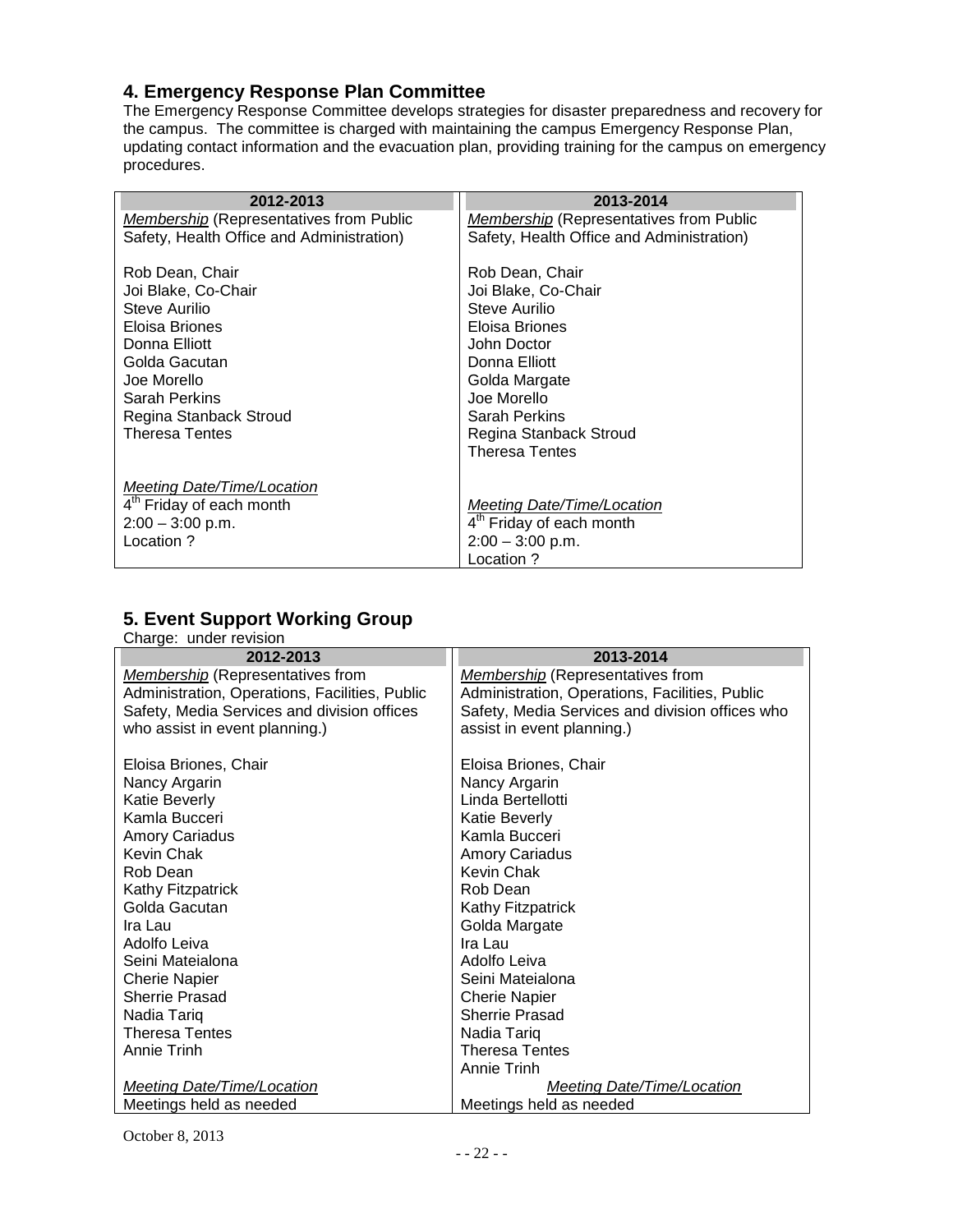## <span id="page-21-0"></span>**4. Emergency Response Plan Committee**

The Emergency Response Committee develops strategies for disaster preparedness and recovery for the campus. The committee is charged with maintaining the campus Emergency Response Plan, updating contact information and the evacuation plan, providing training for the campus on emergency procedures.

| 2012-2013                                      | 2013-2014                                      |
|------------------------------------------------|------------------------------------------------|
| <b>Membership</b> (Representatives from Public | <b>Membership</b> (Representatives from Public |
| Safety, Health Office and Administration)      | Safety, Health Office and Administration)      |
| Rob Dean, Chair                                | Rob Dean, Chair                                |
| Joi Blake, Co-Chair                            | Joi Blake, Co-Chair                            |
| Steve Aurilio                                  | Steve Aurilio                                  |
| Eloisa Briones                                 | Eloisa Briones                                 |
| Donna Elliott                                  | John Doctor                                    |
| Golda Gacutan                                  | Donna Elliott                                  |
| Joe Morello                                    | Golda Margate                                  |
| Sarah Perkins                                  | Joe Morello                                    |
| Regina Stanback Stroud                         | Sarah Perkins                                  |
| <b>Theresa Tentes</b>                          | Regina Stanback Stroud                         |
|                                                | Theresa Tentes                                 |
| Meeting Date/Time/Location                     |                                                |
| 4 <sup>th</sup> Friday of each month           | Meeting Date/Time/Location                     |
| $2:00 - 3:00$ p.m.                             | 4 <sup>th</sup> Friday of each month           |
| Location ?                                     | $2:00 - 3:00$ p.m.                             |
|                                                | 2 Location                                     |

## <span id="page-21-1"></span>**5. Event Support Working Group**

| Charge: under revision<br>2012-2013            | 2013-2014                                       |
|------------------------------------------------|-------------------------------------------------|
| <b>Membership</b> (Representatives from        | <b>Membership</b> (Representatives from         |
| Administration, Operations, Facilities, Public | Administration, Operations, Facilities, Public  |
| Safety, Media Services and division offices    | Safety, Media Services and division offices who |
| who assist in event planning.)                 | assist in event planning.)                      |
| Eloisa Briones, Chair                          | Eloisa Briones, Chair                           |
| Nancy Argarin                                  | Nancy Argarin                                   |
| Katie Beverly                                  | Linda Bertellotti                               |
| Kamla Bucceri                                  | Katie Beverly                                   |
| <b>Amory Cariadus</b>                          | Kamla Bucceri                                   |
| Kevin Chak                                     | Amory Cariadus                                  |
| Rob Dean                                       | <b>Kevin Chak</b>                               |
| Kathy Fitzpatrick                              | Rob Dean                                        |
| Golda Gacutan                                  | Kathy Fitzpatrick                               |
| Ira Lau                                        | Golda Margate                                   |
| Adolfo Leiva                                   | Ira Lau                                         |
| Seini Mateialona                               | Adolfo Leiva                                    |
| <b>Cherie Napier</b>                           | Seini Mateialona                                |
| <b>Sherrie Prasad</b>                          | <b>Cherie Napier</b>                            |
| Nadia Tariq                                    | <b>Sherrie Prasad</b>                           |
| <b>Theresa Tentes</b>                          | Nadia Tariq                                     |
| Annie Trinh                                    | Theresa Tentes                                  |
|                                                | <b>Annie Trinh</b>                              |
| <b>Meeting Date/Time/Location</b>              | <b>Meeting Date/Time/Location</b>               |
| Meetings held as needed                        | Meetings held as needed                         |

October 8, 2013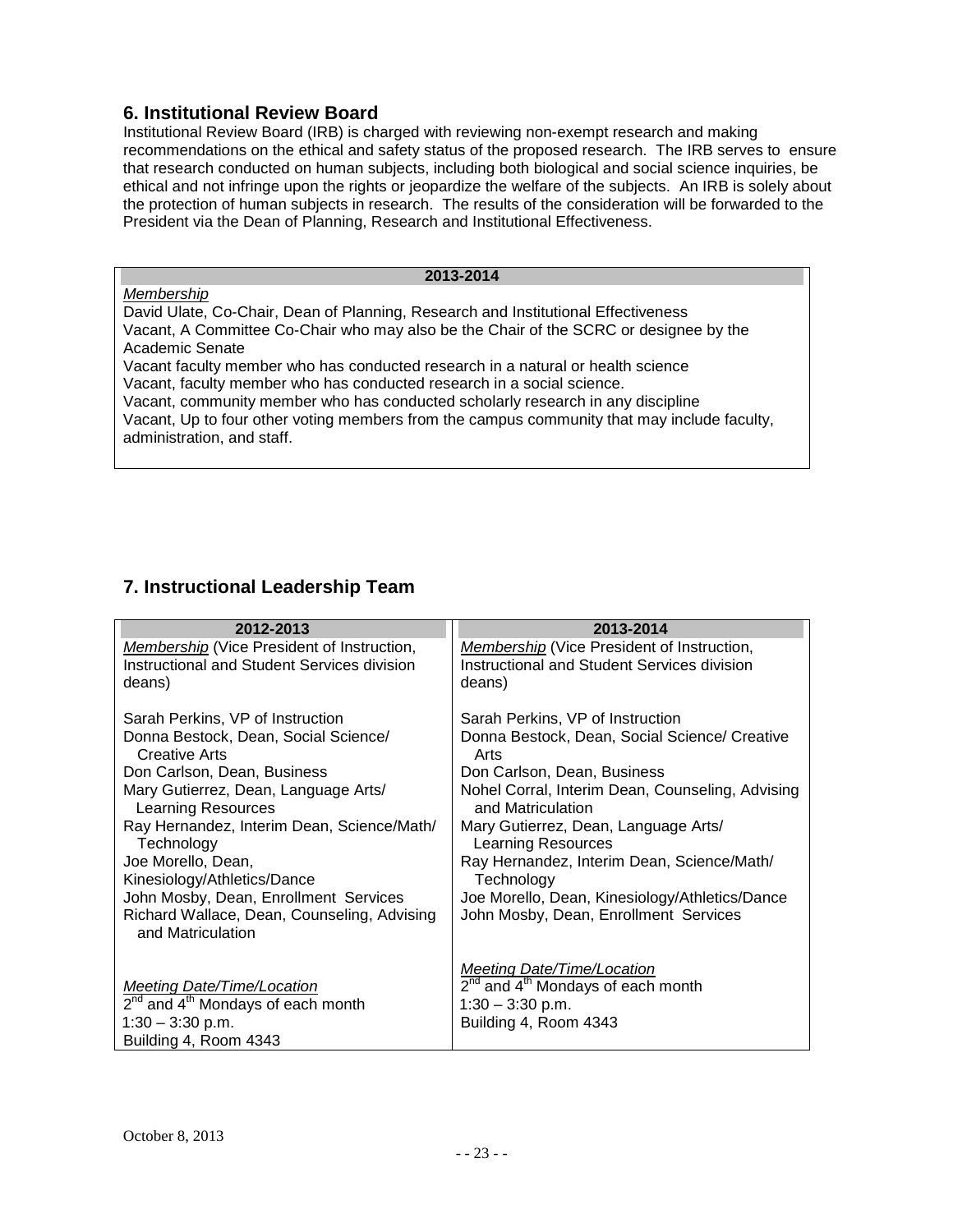#### <span id="page-22-0"></span>**6. Institutional Review Board**

Institutional Review Board (IRB) is charged with reviewing non-exempt research and making recommendations on the ethical and safety status of the proposed research. The IRB serves to ensure that research conducted on human subjects, including both biological and social science inquiries, be ethical and not infringe upon the rights or jeopardize the welfare of the subjects. An IRB is solely about the protection of human subjects in research. The results of the consideration will be forwarded to the President via the Dean of Planning, Research and Institutional Effectiveness.

#### **2013-2014**

*Membership* David Ulate, Co-Chair, Dean of Planning, Research and Institutional Effectiveness Vacant, A Committee Co-Chair who may also be the Chair of the SCRC or designee by the Academic Senate

Vacant faculty member who has conducted research in a natural or health science Vacant, faculty member who has conducted research in a social science.

Vacant, community member who has conducted scholarly research in any discipline Vacant, Up to four other voting members from the campus community that may include faculty, administration, and staff.

#### <span id="page-22-1"></span>**7. Instructional Leadership Team**

<span id="page-22-2"></span>

| 2012-2013                                                                                                                                                                                                                                                                                                                                                                                                                   | 2013-2014                                                                                                                                                                                                                                                                                                                                                                                                                     |
|-----------------------------------------------------------------------------------------------------------------------------------------------------------------------------------------------------------------------------------------------------------------------------------------------------------------------------------------------------------------------------------------------------------------------------|-------------------------------------------------------------------------------------------------------------------------------------------------------------------------------------------------------------------------------------------------------------------------------------------------------------------------------------------------------------------------------------------------------------------------------|
| Membership (Vice President of Instruction,                                                                                                                                                                                                                                                                                                                                                                                  | Membership (Vice President of Instruction,                                                                                                                                                                                                                                                                                                                                                                                    |
| Instructional and Student Services division                                                                                                                                                                                                                                                                                                                                                                                 | Instructional and Student Services division                                                                                                                                                                                                                                                                                                                                                                                   |
| deans)                                                                                                                                                                                                                                                                                                                                                                                                                      | deans)                                                                                                                                                                                                                                                                                                                                                                                                                        |
| Sarah Perkins, VP of Instruction<br>Donna Bestock, Dean, Social Science/<br>Creative Arts<br>Don Carlson, Dean, Business<br>Mary Gutierrez, Dean, Language Arts/<br><b>Learning Resources</b><br>Ray Hernandez, Interim Dean, Science/Math/<br>Technology<br>Joe Morello, Dean,<br>Kinesiology/Athletics/Dance<br>John Mosby, Dean, Enrollment Services<br>Richard Wallace, Dean, Counseling, Advising<br>and Matriculation | Sarah Perkins, VP of Instruction<br>Donna Bestock, Dean, Social Science/ Creative<br>Arts<br>Don Carlson, Dean, Business<br>Nohel Corral, Interim Dean, Counseling, Advising<br>and Matriculation<br>Mary Gutierrez, Dean, Language Arts/<br><b>Learning Resources</b><br>Ray Hernandez, Interim Dean, Science/Math/<br>Technology<br>Joe Morello, Dean, Kinesiology/Athletics/Dance<br>John Mosby, Dean, Enrollment Services |
| <b>Meeting Date/Time/Location</b>                                                                                                                                                                                                                                                                                                                                                                                           | Meeting Date/Time/Location                                                                                                                                                                                                                                                                                                                                                                                                    |
| 2 <sup>nd</sup> and 4 <sup>th</sup> Mondays of each month                                                                                                                                                                                                                                                                                                                                                                   | $2nd$ and $4th$ Mondays of each month                                                                                                                                                                                                                                                                                                                                                                                         |
| $1:30 - 3:30$ p.m.                                                                                                                                                                                                                                                                                                                                                                                                          | $1:30 - 3:30$ p.m.                                                                                                                                                                                                                                                                                                                                                                                                            |
| Building 4, Room 4343                                                                                                                                                                                                                                                                                                                                                                                                       | Building 4, Room 4343                                                                                                                                                                                                                                                                                                                                                                                                         |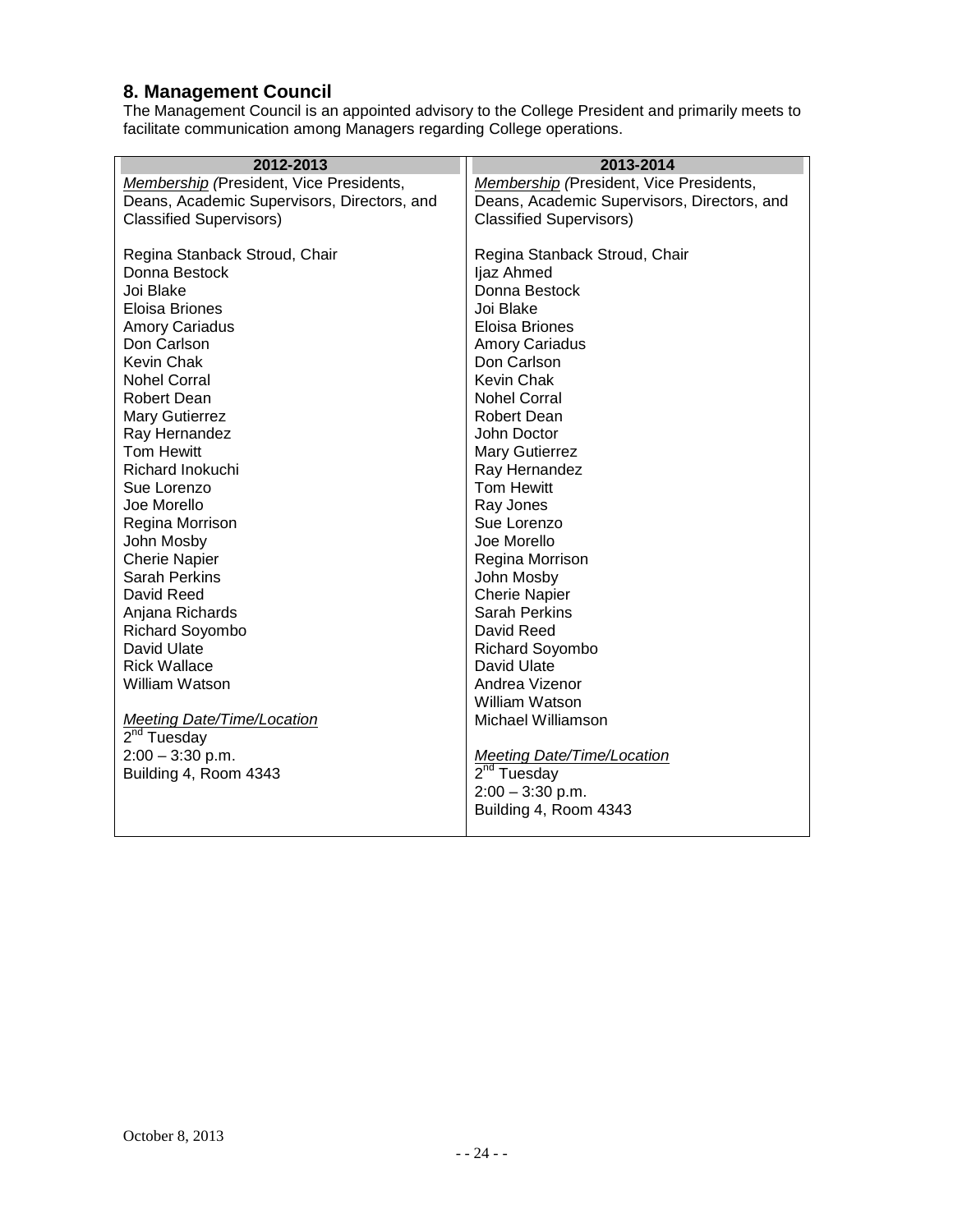#### **8. Management Council**

The Management Council is an appointed advisory to the College President and primarily meets to facilitate communication among Managers regarding College operations.

| 2012-2013                                   | 2013-2014                                                    |
|---------------------------------------------|--------------------------------------------------------------|
| Membership (President, Vice Presidents,     | Membership (President, Vice Presidents,                      |
| Deans, Academic Supervisors, Directors, and | Deans, Academic Supervisors, Directors, and                  |
| <b>Classified Supervisors)</b>              | <b>Classified Supervisors)</b>                               |
|                                             |                                                              |
| Regina Stanback Stroud, Chair               | Regina Stanback Stroud, Chair                                |
| Donna Bestock                               | ljaz Ahmed                                                   |
| Joi Blake                                   | Donna Bestock                                                |
| Eloisa Briones                              | Joi Blake                                                    |
| <b>Amory Cariadus</b>                       | Eloisa Briones                                               |
| Don Carlson                                 | <b>Amory Cariadus</b>                                        |
| Kevin Chak                                  | Don Carlson                                                  |
| <b>Nohel Corral</b>                         | Kevin Chak                                                   |
| <b>Robert Dean</b>                          | <b>Nohel Corral</b>                                          |
| <b>Mary Gutierrez</b>                       | <b>Robert Dean</b>                                           |
| Ray Hernandez                               | John Doctor                                                  |
| Tom Hewitt                                  | Mary Gutierrez                                               |
| Richard Inokuchi                            | Ray Hernandez                                                |
| Sue Lorenzo                                 | Tom Hewitt                                                   |
| Joe Morello                                 | Ray Jones                                                    |
| Regina Morrison                             | Sue Lorenzo                                                  |
| John Mosby                                  | Joe Morello                                                  |
| <b>Cherie Napier</b>                        | Regina Morrison                                              |
| <b>Sarah Perkins</b>                        | John Mosby                                                   |
| David Reed                                  | <b>Cherie Napier</b>                                         |
| Anjana Richards                             | <b>Sarah Perkins</b>                                         |
| Richard Soyombo                             | David Reed                                                   |
| David Ulate                                 | Richard Soyombo                                              |
| <b>Rick Wallace</b>                         | David Ulate                                                  |
| <b>William Watson</b>                       | Andrea Vizenor                                               |
|                                             | <b>William Watson</b>                                        |
| <b>Meeting Date/Time/Location</b>           | Michael Williamson                                           |
| 2 <sup>nd</sup> Tuesday                     |                                                              |
| $2:00 - 3:30$ p.m.                          | <b>Meeting Date/Time/Location</b><br>2 <sup>nd</sup> Tuesday |
| Building 4, Room 4343                       |                                                              |
|                                             | $2:00 - 3:30$ p.m.                                           |
|                                             | Building 4, Room 4343                                        |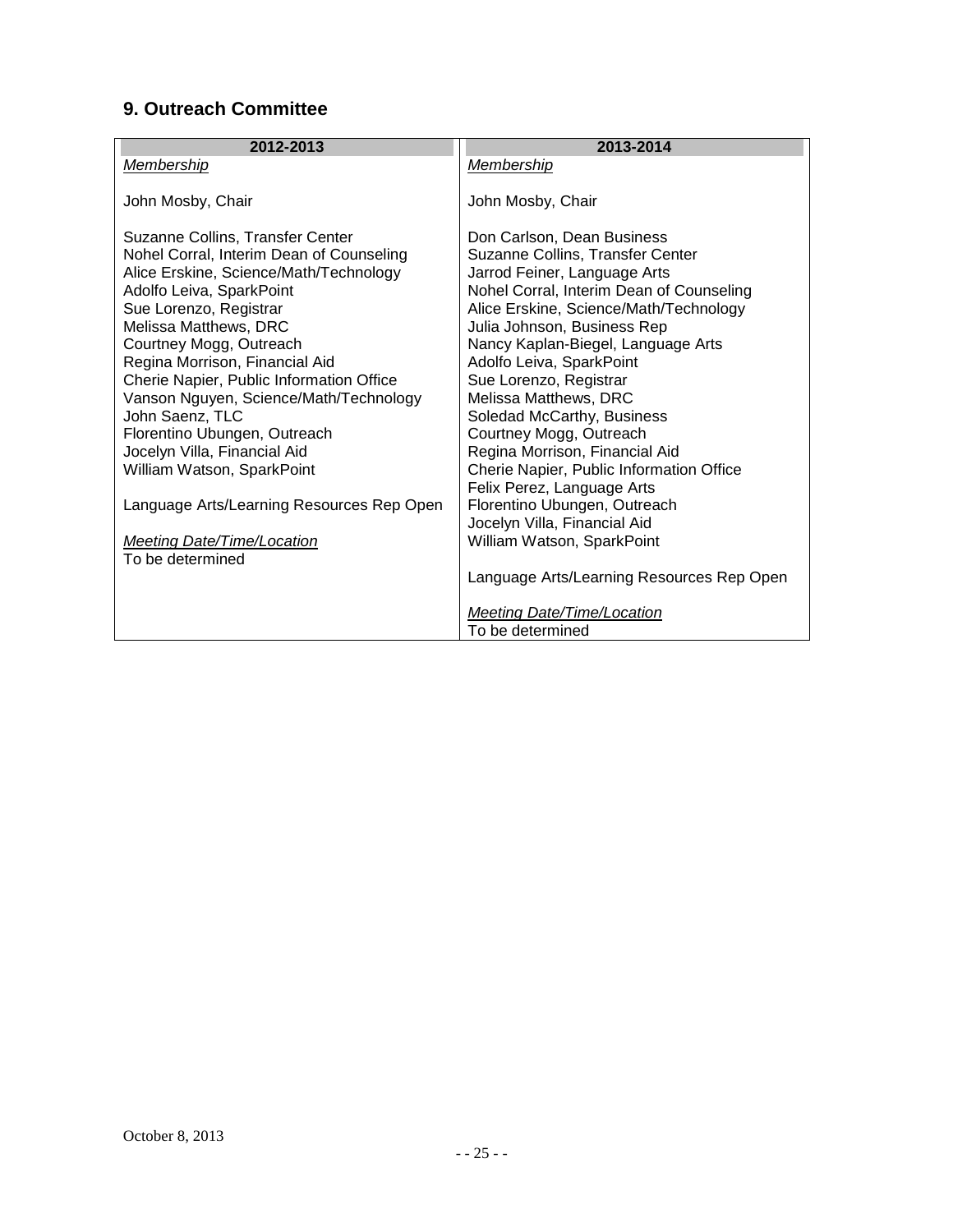# <span id="page-24-0"></span>**9. Outreach Committee**

| 2012-2013                                 | 2013-2014                                 |
|-------------------------------------------|-------------------------------------------|
| Membership                                | Membership                                |
|                                           |                                           |
| John Mosby, Chair                         | John Mosby, Chair                         |
|                                           |                                           |
| Suzanne Collins, Transfer Center          | Don Carlson, Dean Business                |
| Nohel Corral, Interim Dean of Counseling  | Suzanne Collins, Transfer Center          |
| Alice Erskine, Science/Math/Technology    | Jarrod Feiner, Language Arts              |
| Adolfo Leiva, SparkPoint                  | Nohel Corral, Interim Dean of Counseling  |
| Sue Lorenzo, Registrar                    | Alice Erskine, Science/Math/Technology    |
| Melissa Matthews, DRC                     | Julia Johnson, Business Rep               |
| Courtney Mogg, Outreach                   | Nancy Kaplan-Biegel, Language Arts        |
| Regina Morrison, Financial Aid            | Adolfo Leiva, SparkPoint                  |
| Cherie Napier, Public Information Office  | Sue Lorenzo, Registrar                    |
| Vanson Nguyen, Science/Math/Technology    | Melissa Matthews, DRC                     |
| John Saenz, TLC                           | Soledad McCarthy, Business                |
| Florentino Ubungen, Outreach              | Courtney Mogg, Outreach                   |
| Jocelyn Villa, Financial Aid              | Regina Morrison, Financial Aid            |
| William Watson, SparkPoint                | Cherie Napier, Public Information Office  |
|                                           | Felix Perez, Language Arts                |
| Language Arts/Learning Resources Rep Open | Florentino Ubungen, Outreach              |
|                                           | Jocelyn Villa, Financial Aid              |
| <b>Meeting Date/Time/Location</b>         | William Watson, SparkPoint                |
| To be determined                          |                                           |
|                                           | Language Arts/Learning Resources Rep Open |
|                                           |                                           |
|                                           | <b>Meeting Date/Time/Location</b>         |
|                                           | To be determined                          |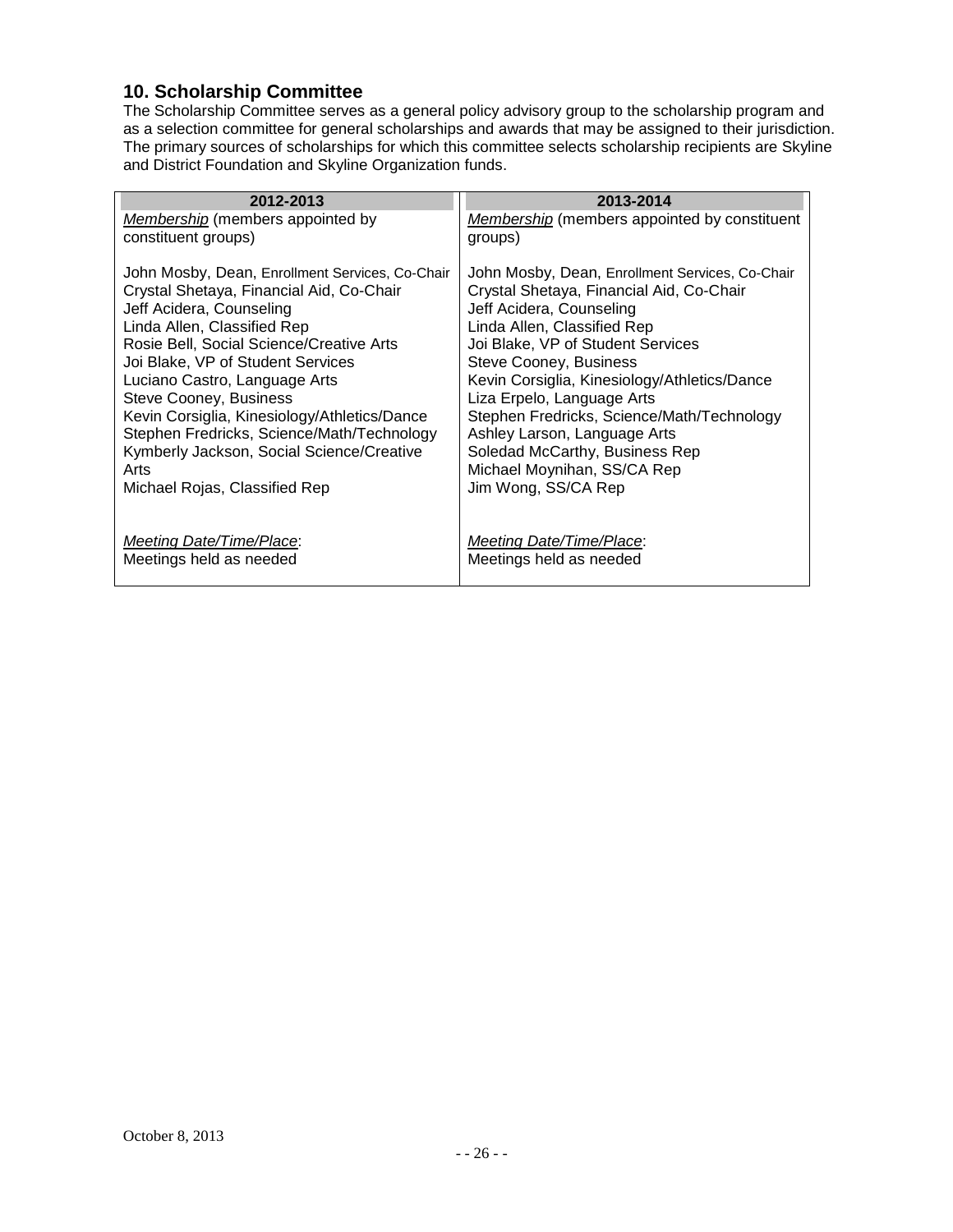## <span id="page-25-0"></span>**10. Scholarship Committee**

The Scholarship Committee serves as a general policy advisory group to the scholarship program and as a selection committee for general scholarships and awards that may be assigned to their jurisdiction. The primary sources of scholarships for which this committee selects scholarship recipients are Skyline and District Foundation and Skyline Organization funds.

| 2012-2013                                                                                                                                                                                                                                                                                                                                                                                                                                                                                     | 2013-2014                                                                                                                                                                                                                                                                                                                                                                                                                                                                 |
|-----------------------------------------------------------------------------------------------------------------------------------------------------------------------------------------------------------------------------------------------------------------------------------------------------------------------------------------------------------------------------------------------------------------------------------------------------------------------------------------------|---------------------------------------------------------------------------------------------------------------------------------------------------------------------------------------------------------------------------------------------------------------------------------------------------------------------------------------------------------------------------------------------------------------------------------------------------------------------------|
| Membership (members appointed by                                                                                                                                                                                                                                                                                                                                                                                                                                                              | <b>Membership</b> (members appointed by constituent                                                                                                                                                                                                                                                                                                                                                                                                                       |
| constituent groups)                                                                                                                                                                                                                                                                                                                                                                                                                                                                           | groups)                                                                                                                                                                                                                                                                                                                                                                                                                                                                   |
| John Mosby, Dean, Enrollment Services, Co-Chair<br>Crystal Shetaya, Financial Aid, Co-Chair<br>Jeff Acidera, Counseling<br>Linda Allen, Classified Rep<br>Rosie Bell, Social Science/Creative Arts<br>Joi Blake, VP of Student Services<br>Luciano Castro, Language Arts<br><b>Steve Cooney, Business</b><br>Kevin Corsiglia, Kinesiology/Athletics/Dance<br>Stephen Fredricks, Science/Math/Technology<br>Kymberly Jackson, Social Science/Creative<br>Arts<br>Michael Rojas, Classified Rep | John Mosby, Dean, Enrollment Services, Co-Chair<br>Crystal Shetaya, Financial Aid, Co-Chair<br>Jeff Acidera, Counseling<br>Linda Allen, Classified Rep<br>Joi Blake, VP of Student Services<br>Steve Cooney, Business<br>Kevin Corsiglia, Kinesiology/Athletics/Dance<br>Liza Erpelo, Language Arts<br>Stephen Fredricks, Science/Math/Technology<br>Ashley Larson, Language Arts<br>Soledad McCarthy, Business Rep<br>Michael Moynihan, SS/CA Rep<br>Jim Wong, SS/CA Rep |
| <b>Meeting Date/Time/Place:</b><br>Meetings held as needed                                                                                                                                                                                                                                                                                                                                                                                                                                    | <b>Meeting Date/Time/Place:</b><br>Meetings held as needed                                                                                                                                                                                                                                                                                                                                                                                                                |